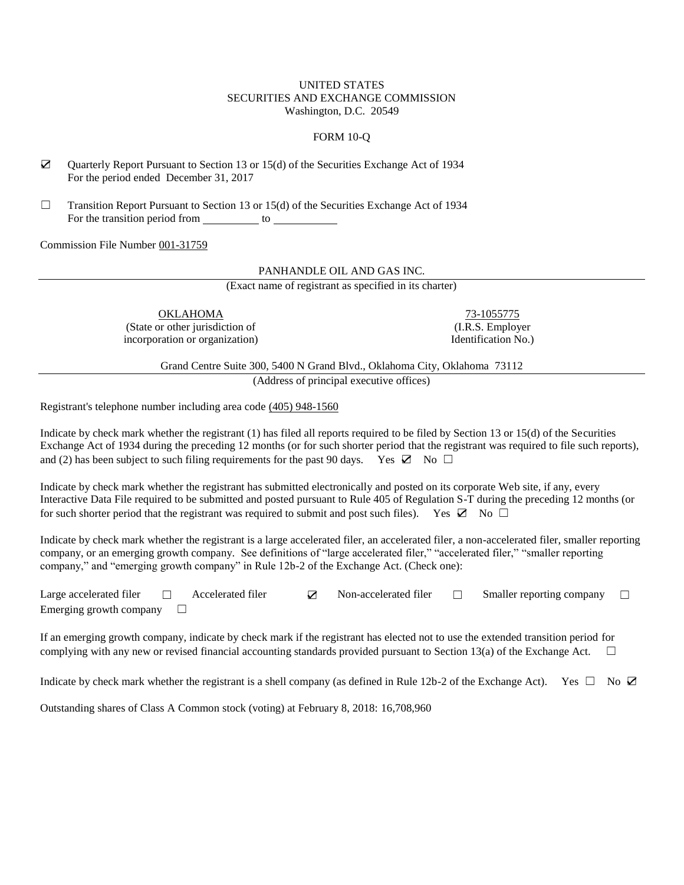### UNITED STATES SECURITIES AND EXCHANGE COMMISSION Washington, D.C. 20549

## FORM 10-Q

- ☑ Quarterly Report Pursuant to Section 13 or 15(d) of the Securities Exchange Act of 1934 For the period ended December 31, 2017
- $\Box$  Transition Report Pursuant to Section 13 or 15(d) of the Securities Exchange Act of 1934 For the transition period from to

Commission File Number 001-31759

## PANHANDLE OIL AND GAS INC.

(Exact name of registrant as specified in its charter)

OKLAHOMA 73-1055775 (State or other jurisdiction of incorporation or organization)

(I.R.S. Employer Identification No.)

Grand Centre Suite 300, 5400 N Grand Blvd., Oklahoma City, Oklahoma 73112 (Address of principal executive offices)

Registrant's telephone number including area code (405) 948-1560

Indicate by check mark whether the registrant (1) has filed all reports required to be filed by Section 13 or 15(d) of the Securities Exchange Act of 1934 during the preceding 12 months (or for such shorter period that the registrant was required to file such reports), and (2) has been subject to such filing requirements for the past 90 days. Yes  $\boxtimes$  No  $\Box$ 

Indicate by check mark whether the registrant has submitted electronically and posted on its corporate Web site, if any, every Interactive Data File required to be submitted and posted pursuant to Rule 405 of Regulation S-T during the preceding 12 months (or for such shorter period that the registrant was required to submit and post such files). Yes  $\boxtimes$  No  $\Box$ 

Indicate by check mark whether the registrant is a large accelerated filer, an accelerated filer, a non-accelerated filer, smaller reporting company, or an emerging growth company. See definitions of "large accelerated filer," "accelerated filer," "smaller reporting company," and "emerging growth company" in Rule 12b-2 of the Exchange Act. (Check one):

| Large accelerated filer $\Box$ Accelerated filer |  | Non-accelerated filer | Smaller reporting company $\square$ |  |
|--------------------------------------------------|--|-----------------------|-------------------------------------|--|
| Emerging growth company                          |  |                       |                                     |  |

If an emerging growth company, indicate by check mark if the registrant has elected not to use the extended transition period for complying with any new or revised financial accounting standards provided pursuant to Section 13(a) of the Exchange Act.  $\Box$ 

Indicate by check mark whether the registrant is a shell company (as defined in Rule 12b-2 of the Exchange Act). Yes  $\Box$  No  $\Box$ 

Outstanding shares of Class A Common stock (voting) at February 8, 2018: 16,708,960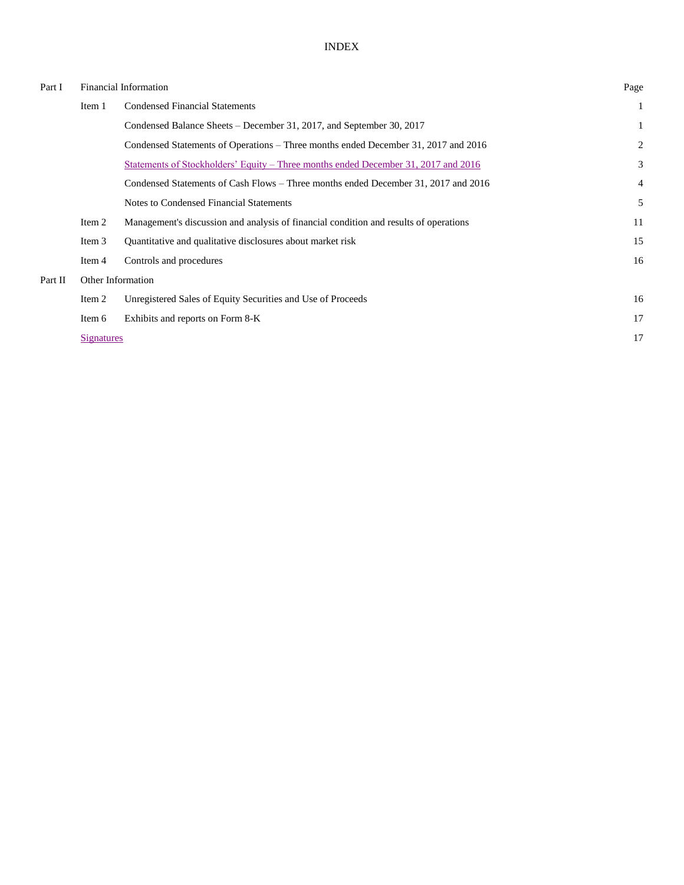# INDEX

| Part I  |                   | <b>Financial Information</b>                                                              | Page |
|---------|-------------------|-------------------------------------------------------------------------------------------|------|
|         | Item 1            | <b>Condensed Financial Statements</b>                                                     |      |
|         |                   | Condensed Balance Sheets – December 31, 2017, and September 30, 2017                      |      |
|         |                   | Condensed Statements of Operations – Three months ended December 31, 2017 and 2016        | 2    |
|         |                   | <u>Statements of Stockholders' Equity – Three months ended December 31, 2017 and 2016</u> | 3    |
|         |                   | Condensed Statements of Cash Flows – Three months ended December 31, 2017 and 2016        | 4    |
|         |                   | Notes to Condensed Financial Statements                                                   | 5    |
|         | Item 2            | Management's discussion and analysis of financial condition and results of operations     | 11   |
|         | Item 3            | Quantitative and qualitative disclosures about market risk                                | 15   |
|         | Item 4            | Controls and procedures                                                                   | 16   |
| Part II |                   | Other Information                                                                         |      |
|         | Item 2            | Unregistered Sales of Equity Securities and Use of Proceeds                               | 16   |
|         | Item 6            | Exhibits and reports on Form 8-K                                                          | 17   |
|         | <b>Signatures</b> |                                                                                           | 17   |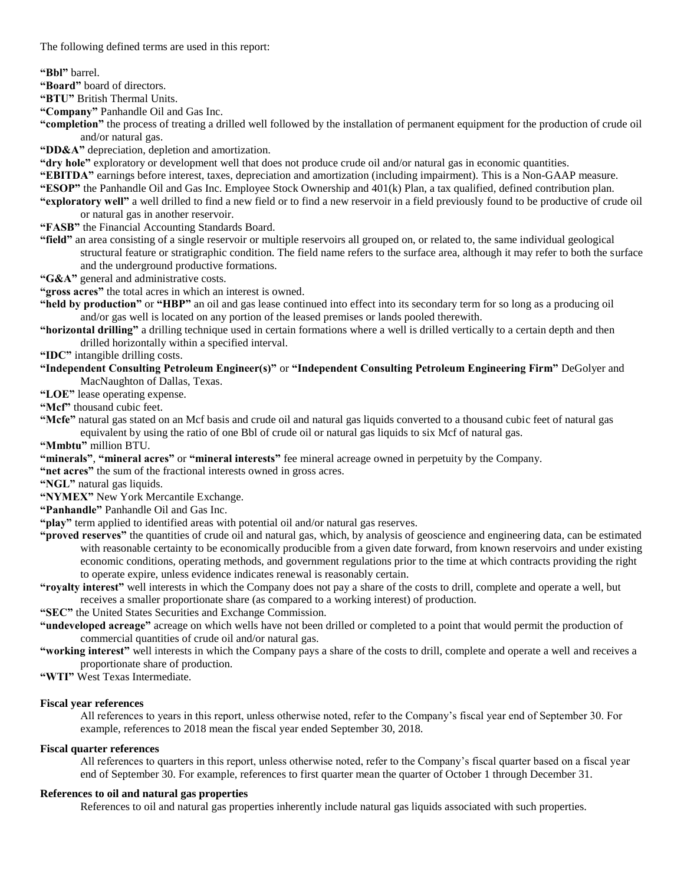The following defined terms are used in this report:

**"Bbl"** barrel.

**"Board"** board of directors.

**"BTU"** British Thermal Units.

**"Company"** Panhandle Oil and Gas Inc.

**"completion"** the process of treating a drilled well followed by the installation of permanent equipment for the production of crude oil and/or natural gas.

**"DD&A"** depreciation, depletion and amortization.

**"dry hole"** exploratory or development well that does not produce crude oil and/or natural gas in economic quantities.

**"EBITDA"** earnings before interest, taxes, depreciation and amortization (including impairment). This is a Non-GAAP measure. **"ESOP"** the Panhandle Oil and Gas Inc. Employee Stock Ownership and 401(k) Plan, a tax qualified, defined contribution plan.

**"exploratory well"** a well drilled to find a new field or to find a new reservoir in a field previously found to be productive of crude oil or natural gas in another reservoir.

**"FASB"** the Financial Accounting Standards Board.

**"field"** an area consisting of a single reservoir or multiple reservoirs all grouped on, or related to, the same individual geological structural feature or stratigraphic condition. The field name refers to the surface area, although it may refer to both the surface and the underground productive formations.

**"G&A"** general and administrative costs.

**"gross acres"** the total acres in which an interest is owned.

**"held by production"** or **"HBP"** an oil and gas lease continued into effect into its secondary term for so long as a producing oil and/or gas well is located on any portion of the leased premises or lands pooled therewith.

**"horizontal drilling"** a drilling technique used in certain formations where a well is drilled vertically to a certain depth and then drilled horizontally within a specified interval.

**"IDC"** intangible drilling costs.

**"Independent Consulting Petroleum Engineer(s)"** or **"Independent Consulting Petroleum Engineering Firm"** DeGolyer and MacNaughton of Dallas, Texas.

**"LOE"** lease operating expense.

**"Mcf"** thousand cubic feet.

**"Mcfe"** natural gas stated on an Mcf basis and crude oil and natural gas liquids converted to a thousand cubic feet of natural gas equivalent by using the ratio of one Bbl of crude oil or natural gas liquids to six Mcf of natural gas.

**"Mmbtu"** million BTU.

**"minerals"**, **"mineral acres"** or **"mineral interests"** fee mineral acreage owned in perpetuity by the Company.

**"net acres"** the sum of the fractional interests owned in gross acres.

**"NGL"** natural gas liquids.

**"NYMEX"** New York Mercantile Exchange.

**"Panhandle"** Panhandle Oil and Gas Inc.

**"play"** term applied to identified areas with potential oil and/or natural gas reserves.

- **"proved reserves"** the quantities of crude oil and natural gas, which, by analysis of geoscience and engineering data, can be estimated with reasonable certainty to be economically producible from a given date forward, from known reservoirs and under existing economic conditions, operating methods, and government regulations prior to the time at which contracts providing the right to operate expire, unless evidence indicates renewal is reasonably certain.
- **"royalty interest"** well interests in which the Company does not pay a share of the costs to drill, complete and operate a well, but receives a smaller proportionate share (as compared to a working interest) of production.

**"SEC"** the United States Securities and Exchange Commission.

- **"undeveloped acreage"** acreage on which wells have not been drilled or completed to a point that would permit the production of commercial quantities of crude oil and/or natural gas.
- **"working interest"** well interests in which the Company pays a share of the costs to drill, complete and operate a well and receives a proportionate share of production.

**"WTI"** West Texas Intermediate.

## **Fiscal year references**

All references to years in this report, unless otherwise noted, refer to the Company's fiscal year end of September 30. For example, references to 2018 mean the fiscal year ended September 30, 2018.

#### **Fiscal quarter references**

All references to quarters in this report, unless otherwise noted, refer to the Company's fiscal quarter based on a fiscal year end of September 30. For example, references to first quarter mean the quarter of October 1 through December 31.

## **References to oil and natural gas properties**

References to oil and natural gas properties inherently include natural gas liquids associated with such properties.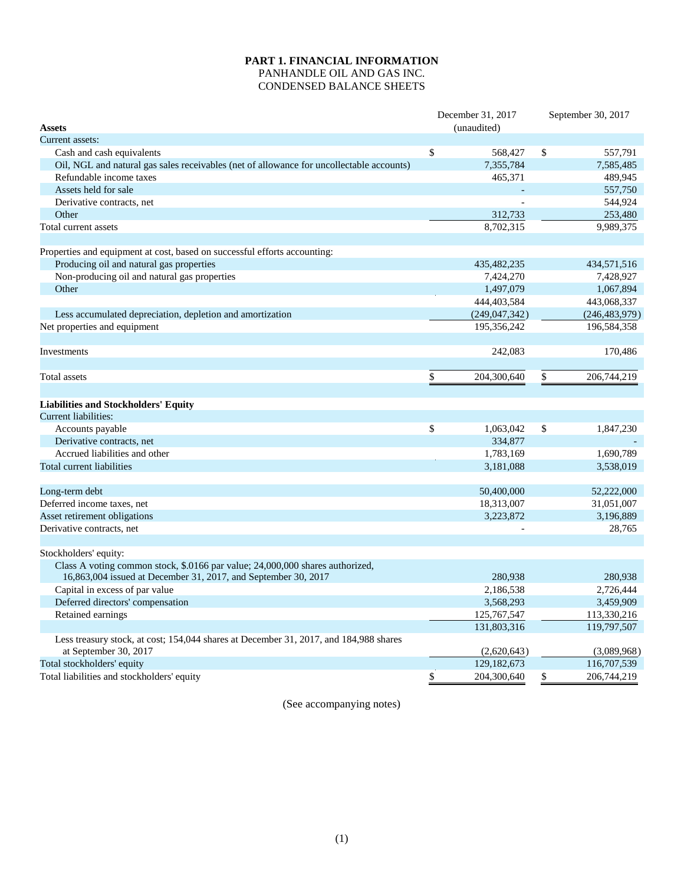## <span id="page-3-2"></span><span id="page-3-0"></span>**PART 1. FINANCIAL INFORMATION** PANHANDLE OIL AND GAS INC. CONDENSED BALANCE SHEETS

<span id="page-3-1"></span>

|                                                                                                                                                 | December 31, 2017 | September 30, 2017 |
|-------------------------------------------------------------------------------------------------------------------------------------------------|-------------------|--------------------|
| Assets                                                                                                                                          | (unaudited)       |                    |
| Current assets:                                                                                                                                 |                   |                    |
| Cash and cash equivalents                                                                                                                       | \$<br>568,427     | \$<br>557,791      |
| Oil, NGL and natural gas sales receivables (net of allowance for uncollectable accounts)                                                        | 7,355,784         | 7,585,485          |
| Refundable income taxes                                                                                                                         | 465,371           | 489,945            |
| Assets held for sale                                                                                                                            |                   | 557,750            |
| Derivative contracts, net                                                                                                                       |                   | 544,924            |
| Other                                                                                                                                           | 312,733           | 253,480            |
| Total current assets                                                                                                                            | 8,702,315         | 9,989,375          |
| Properties and equipment at cost, based on successful efforts accounting:                                                                       |                   |                    |
| Producing oil and natural gas properties                                                                                                        | 435, 482, 235     | 434,571,516        |
| Non-producing oil and natural gas properties                                                                                                    | 7,424,270         | 7,428,927          |
| Other                                                                                                                                           | 1,497,079         | 1,067,894          |
|                                                                                                                                                 | 444,403,584       | 443,068,337        |
| Less accumulated depreciation, depletion and amortization                                                                                       | (249, 047, 342)   | (246, 483, 979)    |
| Net properties and equipment                                                                                                                    | 195,356,242       | 196,584,358        |
| Investments                                                                                                                                     | 242,083           | 170,486            |
| Total assets                                                                                                                                    | \$<br>204,300,640 | \$<br>206,744,219  |
|                                                                                                                                                 |                   |                    |
| <b>Liabilities and Stockholders' Equity</b>                                                                                                     |                   |                    |
| <b>Current liabilities:</b>                                                                                                                     |                   |                    |
| Accounts payable                                                                                                                                | \$<br>1,063,042   | \$<br>1,847,230    |
| Derivative contracts, net                                                                                                                       | 334,877           |                    |
| Accrued liabilities and other                                                                                                                   | 1,783,169         | 1,690,789          |
| Total current liabilities                                                                                                                       | 3,181,088         | 3,538,019          |
|                                                                                                                                                 |                   |                    |
| Long-term debt                                                                                                                                  | 50,400,000        | 52,222,000         |
| Deferred income taxes, net                                                                                                                      | 18,313,007        | 31,051,007         |
| Asset retirement obligations                                                                                                                    | 3,223,872         | 3,196,889          |
| Derivative contracts, net                                                                                                                       |                   | 28,765             |
| Stockholders' equity:                                                                                                                           |                   |                    |
| Class A voting common stock, \$.0166 par value; 24,000,000 shares authorized,<br>16,863,004 issued at December 31, 2017, and September 30, 2017 | 280,938           | 280,938            |
| Capital in excess of par value                                                                                                                  | 2,186,538         | 2,726,444          |
| Deferred directors' compensation                                                                                                                | 3,568,293         | 3,459,909          |
| Retained earnings                                                                                                                               | 125,767,547       | 113,330,216        |
|                                                                                                                                                 | 131,803,316       | 119,797,507        |
| Less treasury stock, at cost; 154,044 shares at December 31, 2017, and 184,988 shares                                                           |                   |                    |
| at September 30, 2017                                                                                                                           | (2,620,643)       | (3,089,968)        |
| Total stockholders' equity                                                                                                                      | 129, 182, 673     | 116,707,539        |
| Total liabilities and stockholders' equity                                                                                                      | \$<br>204,300,640 | \$<br>206,744,219  |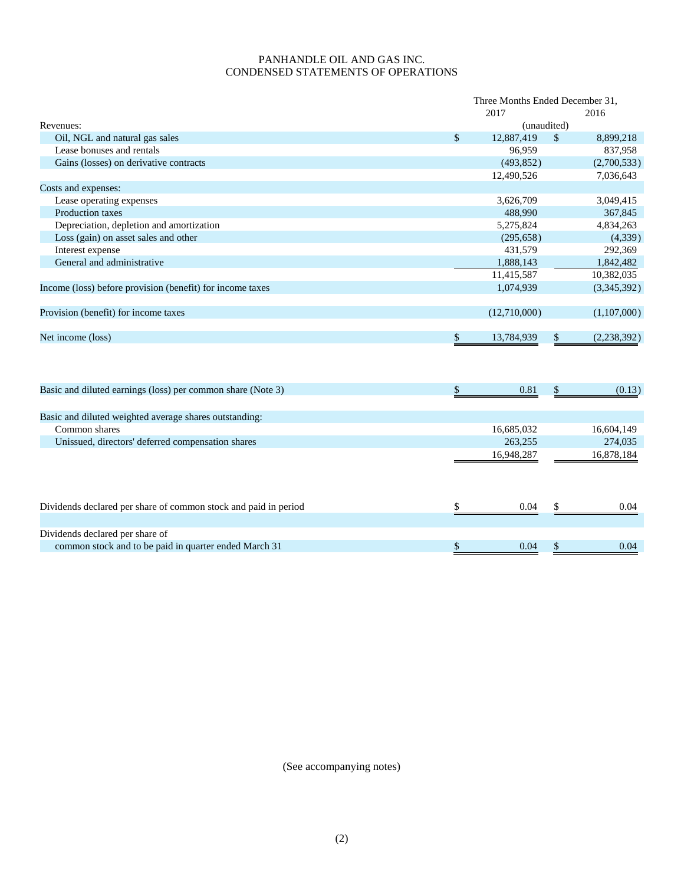# <span id="page-4-0"></span>PANHANDLE OIL AND GAS INC. CONDENSED STATEMENTS OF OPERATIONS

|                                                                 |               | Three Months Ended December 31. |    |               |
|-----------------------------------------------------------------|---------------|---------------------------------|----|---------------|
|                                                                 |               | 2017                            |    | 2016          |
| Revenues:                                                       |               | (unaudited)                     |    |               |
| Oil, NGL and natural gas sales                                  | $\mathsf{\$}$ | 12,887,419                      | \$ | 8,899,218     |
| Lease bonuses and rentals                                       |               | 96,959                          |    | 837,958       |
| Gains (losses) on derivative contracts                          |               | (493, 852)                      |    | (2,700,533)   |
|                                                                 |               | 12,490,526                      |    | 7,036,643     |
| Costs and expenses:                                             |               |                                 |    |               |
| Lease operating expenses                                        |               | 3,626,709                       |    | 3,049,415     |
| Production taxes                                                |               | 488,990                         |    | 367,845       |
| Depreciation, depletion and amortization                        |               | 5,275,824                       |    | 4,834,263     |
| Loss (gain) on asset sales and other                            |               | (295, 658)                      |    | (4, 339)      |
| Interest expense                                                |               | 431,579                         |    | 292,369       |
| General and administrative                                      |               | 1,888,143                       |    | 1,842,482     |
|                                                                 |               | 11,415,587                      |    | 10,382,035    |
| Income (loss) before provision (benefit) for income taxes       |               | 1,074,939                       |    | (3,345,392)   |
|                                                                 |               |                                 |    |               |
| Provision (benefit) for income taxes                            |               | (12,710,000)                    |    | (1,107,000)   |
|                                                                 |               |                                 |    |               |
| Net income (loss)                                               | \$            | 13,784,939                      | \$ | (2, 238, 392) |
|                                                                 |               |                                 |    |               |
|                                                                 |               |                                 |    |               |
|                                                                 |               |                                 |    |               |
| Basic and diluted earnings (loss) per common share (Note 3)     | \$            | 0.81                            | \$ | (0.13)        |
|                                                                 |               |                                 |    |               |
| Basic and diluted weighted average shares outstanding:          |               |                                 |    |               |
| Common shares                                                   |               | 16,685,032                      |    | 16,604,149    |
| Unissued, directors' deferred compensation shares               |               | 263.255                         |    | 274,035       |
|                                                                 |               | 16,948,287                      |    | 16,878,184    |
|                                                                 |               |                                 |    |               |
|                                                                 |               |                                 |    |               |
|                                                                 |               |                                 |    |               |
| Dividends declared per share of common stock and paid in period | \$            | 0.04                            | \$ | 0.04          |
|                                                                 |               |                                 |    |               |
|                                                                 |               |                                 |    |               |
| Dividends declared per share of                                 |               |                                 |    |               |
| common stock and to be paid in quarter ended March 31           | \$            | 0.04                            | \$ | 0.04          |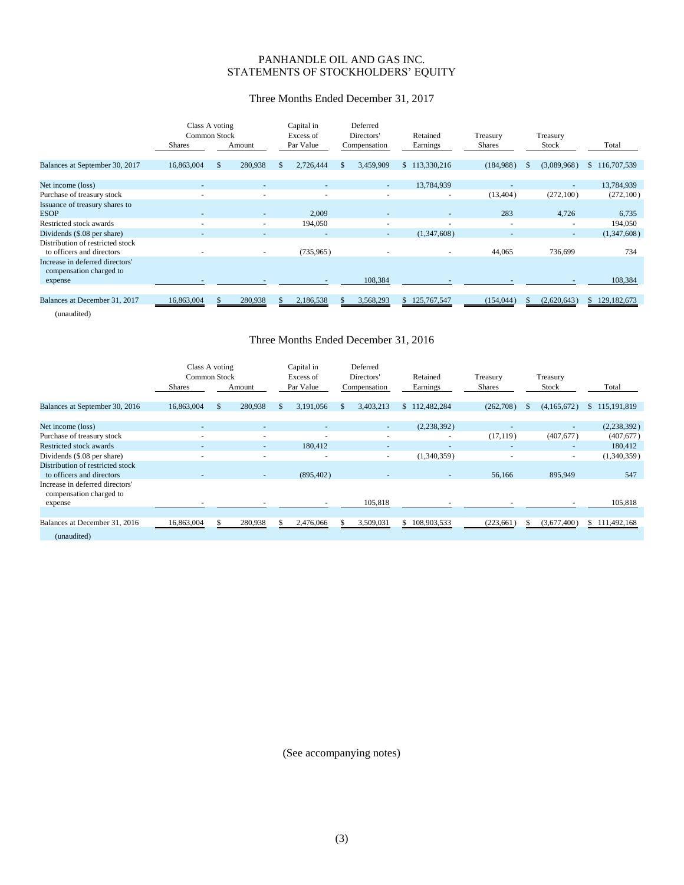## PANHANDLE OIL AND GAS INC. STATEMENTS OF STOCKHOLDERS' EQUITY

## <span id="page-5-0"></span>Three Months Ended December 31, 2017

|                                                               | Class A voting<br>Common Stock |    | Capital in<br>Excess of  |  | Deferred<br>Directors' |  | Retained       |    | Treasury       |               | Treasury |                          |    |               |
|---------------------------------------------------------------|--------------------------------|----|--------------------------|--|------------------------|--|----------------|----|----------------|---------------|----------|--------------------------|----|---------------|
|                                                               | <b>Shares</b>                  |    | Amount                   |  | Par Value              |  | Compensation   |    | Earnings       | <b>Shares</b> |          | Stock                    |    | Total         |
| Balances at September 30, 2017                                | 16,863,004                     | \$ | 280,938                  |  | 2,726,444              |  | 3,459,909      | \$ | 113,330,216    | (184,988)     |          | (3,089,968)              |    | 116,707,539   |
| Net income (loss)                                             |                                |    |                          |  |                        |  | $\overline{a}$ |    | 13,784,939     | ٠             |          | $\overline{\phantom{a}}$ |    | 13,784,939    |
| Purchase of treasury stock                                    | $\overline{\phantom{a}}$       |    | ٠                        |  |                        |  | ٠              |    |                | (13, 404)     |          | (272,100)                |    | (272, 100)    |
| Issuance of treasury shares to<br><b>ESOP</b>                 | $\overline{\phantom{a}}$       |    | ٠                        |  | 2,009                  |  | $\overline{a}$ |    | $\sim$         | 283           |          | 4,726                    |    | 6,735         |
| Restricted stock awards                                       | $\overline{\phantom{a}}$       |    | $\overline{\phantom{a}}$ |  | 194,050                |  | $\overline{a}$ |    | $\overline{a}$ | ٠             |          | $\sim$                   |    | 194,050       |
| Dividends (\$.08 per share)                                   | $\overline{\phantom{a}}$       |    |                          |  |                        |  | $\overline{a}$ |    | (1,347,608)    | ٠             |          | $\sim$                   |    | (1,347,608)   |
| Distribution of restricted stock<br>to officers and directors |                                |    |                          |  | (735, 965)             |  |                |    |                | 44,065        |          | 736,699                  |    | 734           |
| Increase in deferred directors'<br>compensation charged to    |                                |    |                          |  |                        |  |                |    |                |               |          |                          |    |               |
| expense                                                       |                                |    |                          |  |                        |  | 108,384        |    |                |               |          |                          |    | 108,384       |
| Balances at December 31, 2017<br>(unaudited)                  | 16,863,004                     |    | 280,938                  |  | 2,186,538              |  | 3,568,293      | S. | 125,767,547    | (154, 044)    |          | (2.620.643)              | S. | 129, 182, 673 |

## Three Months Ended December 31, 2016

|                                                                       | Class A voting<br>Common Stock<br><b>Shares</b> | Amount        | Capital in<br>Excess of<br>Par Value | Deferred<br>Directors'<br>Compensation               | Retained<br>Earnings | Treasury<br><b>Shares</b> |   | Treasury<br>Stock                          | Total                      |
|-----------------------------------------------------------------------|-------------------------------------------------|---------------|--------------------------------------|------------------------------------------------------|----------------------|---------------------------|---|--------------------------------------------|----------------------------|
| Balances at September 30, 2016                                        | 16,863,004                                      | \$<br>280,938 | 3.191.056                            | 3,403,213                                            | \$112,482,284        | (262,708)                 |   | (4,165,672)                                | \$115,191,819              |
| Net income (loss)<br>Purchase of treasury stock                       | $\overline{\phantom{a}}$                        |               |                                      | $\overline{\phantom{a}}$<br>$\overline{\phantom{a}}$ | (2, 238, 392)        | (17, 119)                 |   | ٠<br>(407,677)                             | (2, 238, 392)<br>(407,677) |
| Restricted stock awards<br>Dividends (\$.08 per share)                | $\overline{\phantom{a}}$                        | ۰.            | 180,412                              | $\overline{\phantom{a}}$<br>$\overline{\phantom{a}}$ | -<br>(1,340,359)     | $\overline{a}$            |   | $\overline{a}$<br>$\overline{\phantom{a}}$ | 180,412<br>(1,340,359)     |
| Distribution of restricted stock<br>to officers and directors         |                                                 | ٠             | (895, 402)                           |                                                      |                      | 56,166                    |   | 895,949                                    | 547                        |
| Increase in deferred directors'<br>compensation charged to<br>expense |                                                 |               |                                      | 105,818                                              |                      |                           |   |                                            | 105,818                    |
| Balances at December 31, 2016                                         | 16,863,004                                      | 280,938       | 2,476,066                            | 3,509,031                                            | \$<br>108,903,533    | (223, 661)                | S | (3,677,400)                                | \$111,492,168              |
| (unaudited)                                                           |                                                 |               |                                      |                                                      |                      |                           |   |                                            |                            |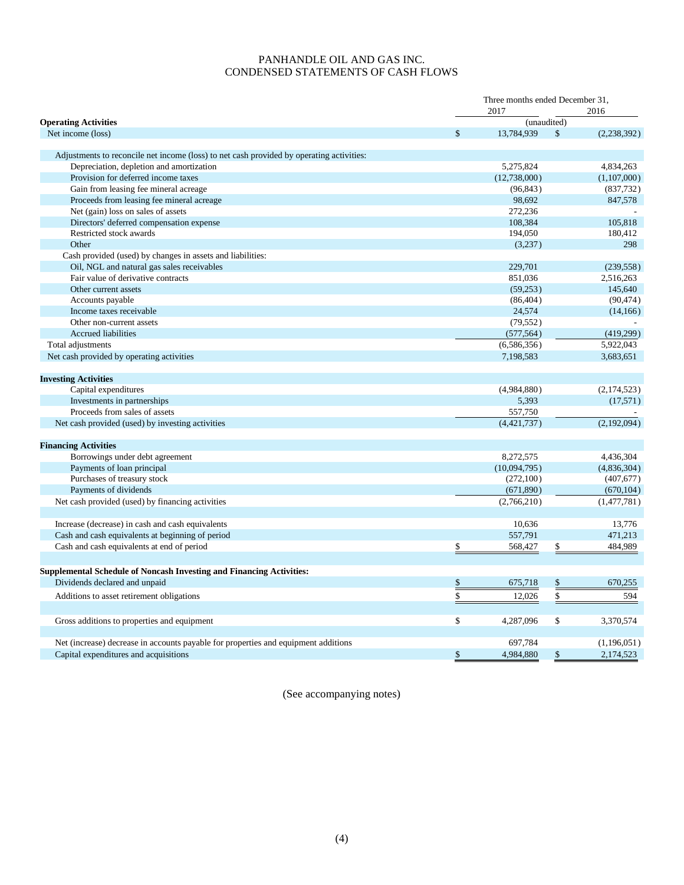# <span id="page-6-0"></span>PANHANDLE OIL AND GAS INC. CONDENSED STATEMENTS OF CASH FLOWS

|                                                                                          |               | Three months ended December 31, |      |               |  |  |
|------------------------------------------------------------------------------------------|---------------|---------------------------------|------|---------------|--|--|
|                                                                                          |               | 2017                            |      | 2016          |  |  |
| <b>Operating Activities</b>                                                              |               | (unaudited)                     |      |               |  |  |
| Net income (loss)                                                                        | $\mathsf{\$}$ | 13,784,939                      | \$   | (2, 238, 392) |  |  |
|                                                                                          |               |                                 |      |               |  |  |
| Adjustments to reconcile net income (loss) to net cash provided by operating activities: |               |                                 |      |               |  |  |
| Depreciation, depletion and amortization                                                 |               | 5,275,824                       |      | 4,834,263     |  |  |
| Provision for deferred income taxes                                                      |               | (12,738,000)                    |      | (1,107,000)   |  |  |
| Gain from leasing fee mineral acreage                                                    |               | (96, 843)                       |      | (837,732)     |  |  |
| Proceeds from leasing fee mineral acreage                                                |               | 98,692                          |      | 847,578       |  |  |
| Net (gain) loss on sales of assets                                                       |               | 272,236                         |      |               |  |  |
| Directors' deferred compensation expense                                                 |               | 108,384                         |      | 105,818       |  |  |
| Restricted stock awards                                                                  |               | 194,050                         |      | 180,412       |  |  |
| Other                                                                                    |               | (3,237)                         |      | 298           |  |  |
| Cash provided (used) by changes in assets and liabilities:                               |               |                                 |      |               |  |  |
| Oil, NGL and natural gas sales receivables                                               |               | 229,701                         |      | (239, 558)    |  |  |
| Fair value of derivative contracts                                                       |               | 851,036                         |      | 2,516,263     |  |  |
| Other current assets                                                                     |               | (59,253)                        |      | 145,640       |  |  |
| Accounts payable                                                                         |               | (86, 404)                       |      | (90, 474)     |  |  |
| Income taxes receivable                                                                  |               | 24,574                          |      | (14,166)      |  |  |
| Other non-current assets                                                                 |               | (79, 552)                       |      |               |  |  |
| <b>Accrued liabilities</b>                                                               |               | (577, 564)                      |      | (419,299)     |  |  |
| Total adjustments                                                                        |               | (6,586,356)                     |      | 5,922,043     |  |  |
| Net cash provided by operating activities                                                |               | 7,198,583                       |      | 3,683,651     |  |  |
|                                                                                          |               |                                 |      |               |  |  |
| <b>Investing Activities</b>                                                              |               |                                 |      |               |  |  |
| Capital expenditures                                                                     |               | (4,984,880)                     |      | (2,174,523)   |  |  |
| Investments in partnerships                                                              |               | 5,393                           |      | (17,571)      |  |  |
| Proceeds from sales of assets                                                            |               | 557,750                         |      |               |  |  |
| Net cash provided (used) by investing activities                                         |               | (4, 421, 737)                   |      | (2,192,094)   |  |  |
| <b>Financing Activities</b>                                                              |               |                                 |      |               |  |  |
| Borrowings under debt agreement                                                          |               | 8,272,575                       |      | 4,436,304     |  |  |
| Payments of loan principal                                                               |               | (10,094,795)                    |      | (4,836,304)   |  |  |
| Purchases of treasury stock                                                              |               | (272,100)                       |      | (407,677)     |  |  |
| Payments of dividends                                                                    |               | (671, 890)                      |      | (670, 104)    |  |  |
| Net cash provided (used) by financing activities                                         |               | (2,766,210)                     |      | (1,477,781)   |  |  |
|                                                                                          |               |                                 |      |               |  |  |
| Increase (decrease) in cash and cash equivalents                                         |               | 10,636                          |      | 13,776        |  |  |
| Cash and cash equivalents at beginning of period                                         |               | 557,791                         |      | 471,213       |  |  |
| Cash and cash equivalents at end of period                                               | \$            | 568,427                         | \$   | 484,989       |  |  |
|                                                                                          |               |                                 |      |               |  |  |
| <b>Supplemental Schedule of Noncash Investing and Financing Activities:</b>              |               |                                 |      |               |  |  |
| Dividends declared and unpaid                                                            | \$            | 675,718                         | \$   | 670,255       |  |  |
| Additions to asset retirement obligations                                                | \$            | 12,026                          | \$   | 594           |  |  |
|                                                                                          |               |                                 |      |               |  |  |
| Gross additions to properties and equipment                                              | \$            | 4,287,096                       | \$   | 3,370,574     |  |  |
|                                                                                          |               |                                 |      |               |  |  |
| Net (increase) decrease in accounts payable for properties and equipment additions       |               | 697,784                         |      | (1,196,051)   |  |  |
| Capital expenditures and acquisitions                                                    | \$            | 4,984,880                       | $\$$ | 2,174,523     |  |  |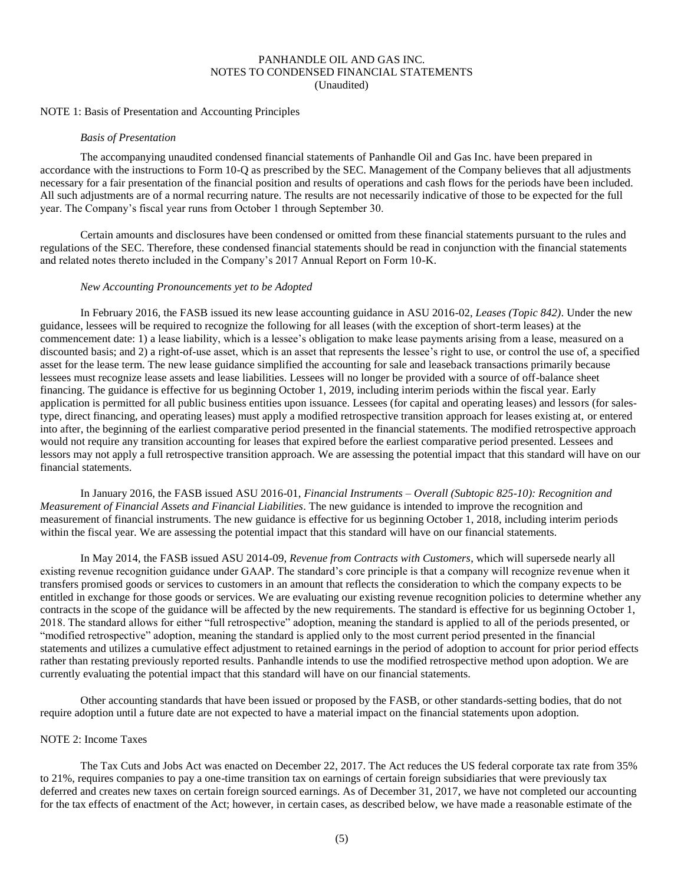#### <span id="page-7-0"></span>PANHANDLE OIL AND GAS INC. NOTES TO CONDENSED FINANCIAL STATEMENTS (Unaudited)

NOTE 1: Basis of Presentation and Accounting Principles

#### *Basis of Presentation*

The accompanying unaudited condensed financial statements of Panhandle Oil and Gas Inc. have been prepared in accordance with the instructions to Form 10-Q as prescribed by the SEC. Management of the Company believes that all adjustments necessary for a fair presentation of the financial position and results of operations and cash flows for the periods have been included. All such adjustments are of a normal recurring nature. The results are not necessarily indicative of those to be expected for the full year. The Company's fiscal year runs from October 1 through September 30.

Certain amounts and disclosures have been condensed or omitted from these financial statements pursuant to the rules and regulations of the SEC. Therefore, these condensed financial statements should be read in conjunction with the financial statements and related notes thereto included in the Company's 2017 Annual Report on Form 10-K.

#### *New Accounting Pronouncements yet to be Adopted*

In February 2016, the FASB issued its new lease accounting guidance in ASU 2016-02, *Leases (Topic 842)*. Under the new guidance, lessees will be required to recognize the following for all leases (with the exception of short-term leases) at the commencement date: 1) a lease liability, which is a lessee's obligation to make lease payments arising from a lease, measured on a discounted basis; and 2) a right-of-use asset, which is an asset that represents the lessee's right to use, or control the use of, a specified asset for the lease term. The new lease guidance simplified the accounting for sale and leaseback transactions primarily because lessees must recognize lease assets and lease liabilities. Lessees will no longer be provided with a source of off-balance sheet financing. The guidance is effective for us beginning October 1, 2019, including interim periods within the fiscal year. Early application is permitted for all public business entities upon issuance. Lessees (for capital and operating leases) and lessors (for salestype, direct financing, and operating leases) must apply a modified retrospective transition approach for leases existing at, or entered into after, the beginning of the earliest comparative period presented in the financial statements. The modified retrospective approach would not require any transition accounting for leases that expired before the earliest comparative period presented. Lessees and lessors may not apply a full retrospective transition approach. We are assessing the potential impact that this standard will have on our financial statements.

In January 2016, the FASB issued ASU 2016-01, *Financial Instruments – Overall (Subtopic 825-10): Recognition and Measurement of Financial Assets and Financial Liabilities*. The new guidance is intended to improve the recognition and measurement of financial instruments. The new guidance is effective for us beginning October 1, 2018, including interim periods within the fiscal year. We are assessing the potential impact that this standard will have on our financial statements.

In May 2014, the FASB issued ASU 2014-09, *Revenue from Contracts with Customers*, which will supersede nearly all existing revenue recognition guidance under GAAP. The standard's core principle is that a company will recognize revenue when it transfers promised goods or services to customers in an amount that reflects the consideration to which the company expects to be entitled in exchange for those goods or services. We are evaluating our existing revenue recognition policies to determine whether any contracts in the scope of the guidance will be affected by the new requirements. The standard is effective for us beginning October 1, 2018. The standard allows for either "full retrospective" adoption, meaning the standard is applied to all of the periods presented, or "modified retrospective" adoption, meaning the standard is applied only to the most current period presented in the financial statements and utilizes a cumulative effect adjustment to retained earnings in the period of adoption to account for prior period effects rather than restating previously reported results. Panhandle intends to use the modified retrospective method upon adoption. We are currently evaluating the potential impact that this standard will have on our financial statements.

Other accounting standards that have been issued or proposed by the FASB, or other standards-setting bodies, that do not require adoption until a future date are not expected to have a material impact on the financial statements upon adoption.

#### NOTE 2: Income Taxes

The Tax Cuts and Jobs Act was enacted on December 22, 2017. The Act reduces the US federal corporate tax rate from 35% to 21%, requires companies to pay a one-time transition tax on earnings of certain foreign subsidiaries that were previously tax deferred and creates new taxes on certain foreign sourced earnings. As of December 31, 2017, we have not completed our accounting for the tax effects of enactment of the Act; however, in certain cases, as described below, we have made a reasonable estimate of the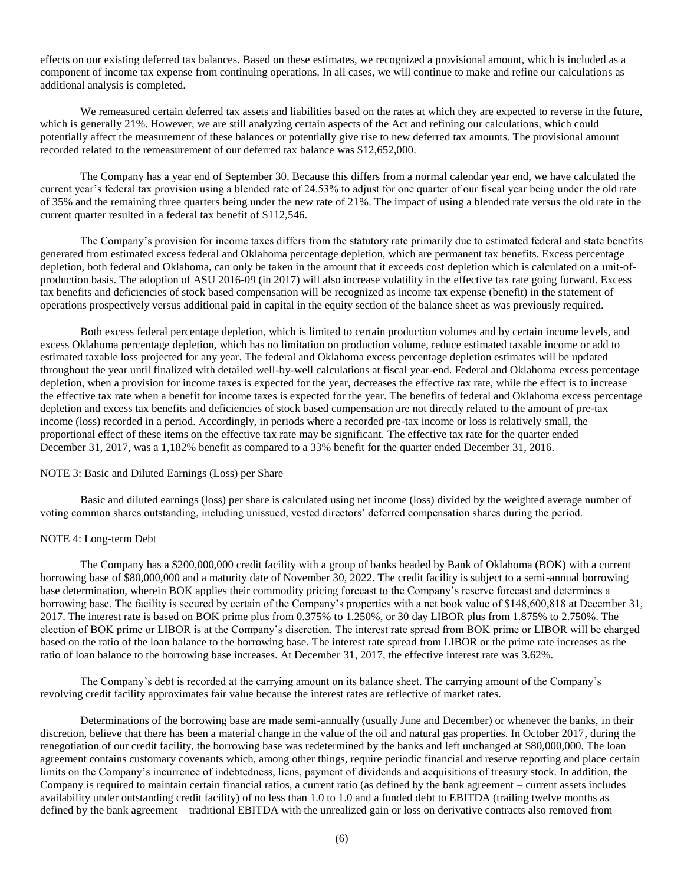effects on our existing deferred tax balances. Based on these estimates, we recognized a provisional amount, which is included as a component of income tax expense from continuing operations. In all cases, we will continue to make and refine our calculations as additional analysis is completed.

We remeasured certain deferred tax assets and liabilities based on the rates at which they are expected to reverse in the future, which is generally 21%. However, we are still analyzing certain aspects of the Act and refining our calculations, which could potentially affect the measurement of these balances or potentially give rise to new deferred tax amounts. The provisional amount recorded related to the remeasurement of our deferred tax balance was \$12,652,000.

The Company has a year end of September 30. Because this differs from a normal calendar year end, we have calculated the current year's federal tax provision using a blended rate of 24.53% to adjust for one quarter of our fiscal year being under the old rate of 35% and the remaining three quarters being under the new rate of 21%. The impact of using a blended rate versus the old rate in the current quarter resulted in a federal tax benefit of \$112,546.

The Company's provision for income taxes differs from the statutory rate primarily due to estimated federal and state benefits generated from estimated excess federal and Oklahoma percentage depletion, which are permanent tax benefits. Excess percentage depletion, both federal and Oklahoma, can only be taken in the amount that it exceeds cost depletion which is calculated on a unit-ofproduction basis. The adoption of ASU 2016-09 (in 2017) will also increase volatility in the effective tax rate going forward. Excess tax benefits and deficiencies of stock based compensation will be recognized as income tax expense (benefit) in the statement of operations prospectively versus additional paid in capital in the equity section of the balance sheet as was previously required.

Both excess federal percentage depletion, which is limited to certain production volumes and by certain income levels, and excess Oklahoma percentage depletion, which has no limitation on production volume, reduce estimated taxable income or add to estimated taxable loss projected for any year. The federal and Oklahoma excess percentage depletion estimates will be updated throughout the year until finalized with detailed well-by-well calculations at fiscal year-end. Federal and Oklahoma excess percentage depletion, when a provision for income taxes is expected for the year, decreases the effective tax rate, while the effect is to increase the effective tax rate when a benefit for income taxes is expected for the year. The benefits of federal and Oklahoma excess percentage depletion and excess tax benefits and deficiencies of stock based compensation are not directly related to the amount of pre-tax income (loss) recorded in a period. Accordingly, in periods where a recorded pre-tax income or loss is relatively small, the proportional effect of these items on the effective tax rate may be significant. The effective tax rate for the quarter ended December 31, 2017, was a 1,182% benefit as compared to a 33% benefit for the quarter ended December 31, 2016.

#### NOTE 3: Basic and Diluted Earnings (Loss) per Share

Basic and diluted earnings (loss) per share is calculated using net income (loss) divided by the weighted average number of voting common shares outstanding, including unissued, vested directors' deferred compensation shares during the period.

#### NOTE 4: Long-term Debt

The Company has a \$200,000,000 credit facility with a group of banks headed by Bank of Oklahoma (BOK) with a current borrowing base of \$80,000,000 and a maturity date of November 30, 2022. The credit facility is subject to a semi-annual borrowing base determination, wherein BOK applies their commodity pricing forecast to the Company's reserve forecast and determines a borrowing base. The facility is secured by certain of the Company's properties with a net book value of \$148,600,818 at December 31, 2017. The interest rate is based on BOK prime plus from 0.375% to 1.250%, or 30 day LIBOR plus from 1.875% to 2.750%. The election of BOK prime or LIBOR is at the Company's discretion. The interest rate spread from BOK prime or LIBOR will be charged based on the ratio of the loan balance to the borrowing base. The interest rate spread from LIBOR or the prime rate increases as the ratio of loan balance to the borrowing base increases. At December 31, 2017, the effective interest rate was 3.62%.

The Company's debt is recorded at the carrying amount on its balance sheet. The carrying amount of the Company's revolving credit facility approximates fair value because the interest rates are reflective of market rates.

Determinations of the borrowing base are made semi-annually (usually June and December) or whenever the banks, in their discretion, believe that there has been a material change in the value of the oil and natural gas properties. In October 2017, during the renegotiation of our credit facility, the borrowing base was redetermined by the banks and left unchanged at \$80,000,000. The loan agreement contains customary covenants which, among other things, require periodic financial and reserve reporting and place certain limits on the Company's incurrence of indebtedness, liens, payment of dividends and acquisitions of treasury stock. In addition, the Company is required to maintain certain financial ratios, a current ratio (as defined by the bank agreement – current assets includes availability under outstanding credit facility) of no less than 1.0 to 1.0 and a funded debt to EBITDA (trailing twelve months as defined by the bank agreement – traditional EBITDA with the unrealized gain or loss on derivative contracts also removed from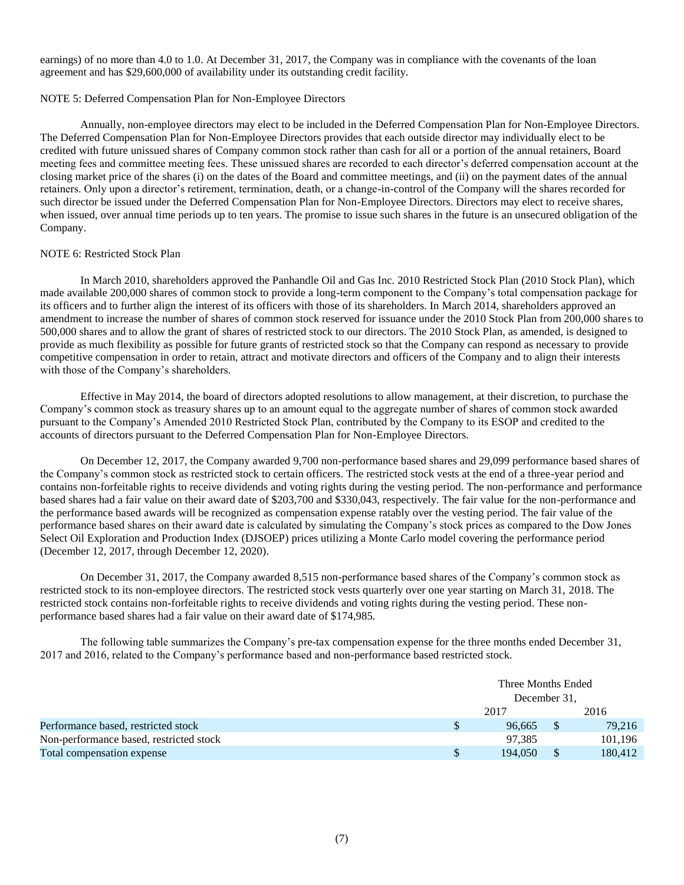earnings) of no more than 4.0 to 1.0. At December 31, 2017, the Company was in compliance with the covenants of the loan agreement and has \$29,600,000 of availability under its outstanding credit facility.

### NOTE 5: Deferred Compensation Plan for Non-Employee Directors

Annually, non-employee directors may elect to be included in the Deferred Compensation Plan for Non-Employee Directors. The Deferred Compensation Plan for Non-Employee Directors provides that each outside director may individually elect to be credited with future unissued shares of Company common stock rather than cash for all or a portion of the annual retainers, Board meeting fees and committee meeting fees. These unissued shares are recorded to each director's deferred compensation account at the closing market price of the shares (i) on the dates of the Board and committee meetings, and (ii) on the payment dates of the annual retainers. Only upon a director's retirement, termination, death, or a change-in-control of the Company will the shares recorded for such director be issued under the Deferred Compensation Plan for Non-Employee Directors. Directors may elect to receive shares, when issued, over annual time periods up to ten years. The promise to issue such shares in the future is an unsecured obligation of the Company.

### NOTE 6: Restricted Stock Plan

In March 2010, shareholders approved the Panhandle Oil and Gas Inc. 2010 Restricted Stock Plan (2010 Stock Plan), which made available 200,000 shares of common stock to provide a long-term component to the Company's total compensation package for its officers and to further align the interest of its officers with those of its shareholders. In March 2014, shareholders approved an amendment to increase the number of shares of common stock reserved for issuance under the 2010 Stock Plan from 200,000 shares to 500,000 shares and to allow the grant of shares of restricted stock to our directors. The 2010 Stock Plan, as amended, is designed to provide as much flexibility as possible for future grants of restricted stock so that the Company can respond as necessary to provide competitive compensation in order to retain, attract and motivate directors and officers of the Company and to align their interests with those of the Company's shareholders.

Effective in May 2014, the board of directors adopted resolutions to allow management, at their discretion, to purchase the Company's common stock as treasury shares up to an amount equal to the aggregate number of shares of common stock awarded pursuant to the Company's Amended 2010 Restricted Stock Plan, contributed by the Company to its ESOP and credited to the accounts of directors pursuant to the Deferred Compensation Plan for Non-Employee Directors.

On December 12, 2017, the Company awarded 9,700 non-performance based shares and 29,099 performance based shares of the Company's common stock as restricted stock to certain officers. The restricted stock vests at the end of a three-year period and contains non-forfeitable rights to receive dividends and voting rights during the vesting period. The non-performance and performance based shares had a fair value on their award date of \$203,700 and \$330,043, respectively. The fair value for the non-performance and the performance based awards will be recognized as compensation expense ratably over the vesting period. The fair value of the performance based shares on their award date is calculated by simulating the Company's stock prices as compared to the Dow Jones Select Oil Exploration and Production Index (DJSOEP) prices utilizing a Monte Carlo model covering the performance period (December 12, 2017, through December 12, 2020).

On December 31, 2017, the Company awarded 8,515 non-performance based shares of the Company's common stock as restricted stock to its non-employee directors. The restricted stock vests quarterly over one year starting on March 31, 2018. The restricted stock contains non-forfeitable rights to receive dividends and voting rights during the vesting period. These nonperformance based shares had a fair value on their award date of \$174,985.

The following table summarizes the Company's pre-tax compensation expense for the three months ended December 31, 2017 and 2016, related to the Company's performance based and non-performance based restricted stock.

|                                         |   | Three Months Ended<br>December 31. |         |
|-----------------------------------------|---|------------------------------------|---------|
|                                         |   | 2017                               | 2016    |
| Performance based, restricted stock     | S | 96.665                             | 79,216  |
| Non-performance based, restricted stock |   | 97.385                             | 101,196 |
| Total compensation expense              |   | 194.050                            | 180,412 |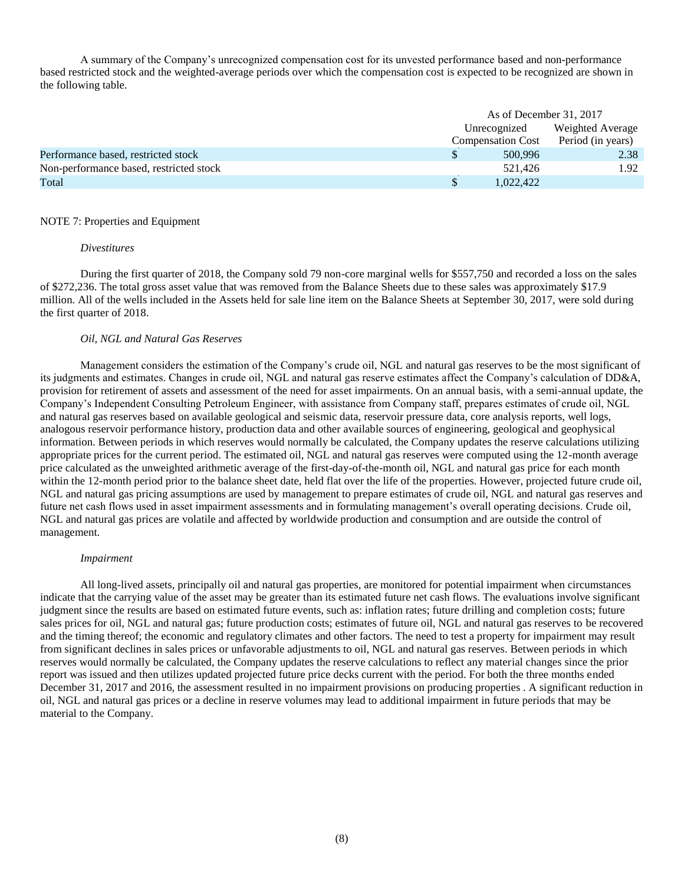A summary of the Company's unrecognized compensation cost for its unvested performance based and non-performance based restricted stock and the weighted-average periods over which the compensation cost is expected to be recognized are shown in the following table.

|                                         | As of December 31, 2017  |                  |  |  |
|-----------------------------------------|--------------------------|------------------|--|--|
|                                         | Unrecognized             | Weighted Average |  |  |
|                                         | <b>Compensation Cost</b> |                  |  |  |
| Performance based, restricted stock     | 500.996                  | 2.38             |  |  |
| Non-performance based, restricted stock | 521.426                  | 1.92             |  |  |
| Total                                   | 1,022,422                |                  |  |  |

#### NOTE 7: Properties and Equipment

#### *Divestitures*

During the first quarter of 2018, the Company sold 79 non-core marginal wells for \$557,750 and recorded a loss on the sales of \$272,236. The total gross asset value that was removed from the Balance Sheets due to these sales was approximately \$17.9 million. All of the wells included in the Assets held for sale line item on the Balance Sheets at September 30, 2017, were sold during the first quarter of 2018.

#### *Oil, NGL and Natural Gas Reserves*

Management considers the estimation of the Company's crude oil, NGL and natural gas reserves to be the most significant of its judgments and estimates. Changes in crude oil, NGL and natural gas reserve estimates affect the Company's calculation of DD&A, provision for retirement of assets and assessment of the need for asset impairments. On an annual basis, with a semi-annual update, the Company's Independent Consulting Petroleum Engineer, with assistance from Company staff, prepares estimates of crude oil, NGL and natural gas reserves based on available geological and seismic data, reservoir pressure data, core analysis reports, well logs, analogous reservoir performance history, production data and other available sources of engineering, geological and geophysical information. Between periods in which reserves would normally be calculated, the Company updates the reserve calculations utilizing appropriate prices for the current period. The estimated oil, NGL and natural gas reserves were computed using the 12-month average price calculated as the unweighted arithmetic average of the first-day-of-the-month oil, NGL and natural gas price for each month within the 12-month period prior to the balance sheet date, held flat over the life of the properties. However, projected future crude oil, NGL and natural gas pricing assumptions are used by management to prepare estimates of crude oil, NGL and natural gas reserves and future net cash flows used in asset impairment assessments and in formulating management's overall operating decisions. Crude oil, NGL and natural gas prices are volatile and affected by worldwide production and consumption and are outside the control of management.

#### *Impairment*

All long-lived assets, principally oil and natural gas properties, are monitored for potential impairment when circumstances indicate that the carrying value of the asset may be greater than its estimated future net cash flows. The evaluations involve significant judgment since the results are based on estimated future events, such as: inflation rates; future drilling and completion costs; future sales prices for oil, NGL and natural gas; future production costs; estimates of future oil, NGL and natural gas reserves to be recovered and the timing thereof; the economic and regulatory climates and other factors. The need to test a property for impairment may result from significant declines in sales prices or unfavorable adjustments to oil, NGL and natural gas reserves. Between periods in which reserves would normally be calculated, the Company updates the reserve calculations to reflect any material changes since the prior report was issued and then utilizes updated projected future price decks current with the period. For both the three months ended December 31, 2017 and 2016, the assessment resulted in no impairment provisions on producing properties . A significant reduction in oil, NGL and natural gas prices or a decline in reserve volumes may lead to additional impairment in future periods that may be material to the Company.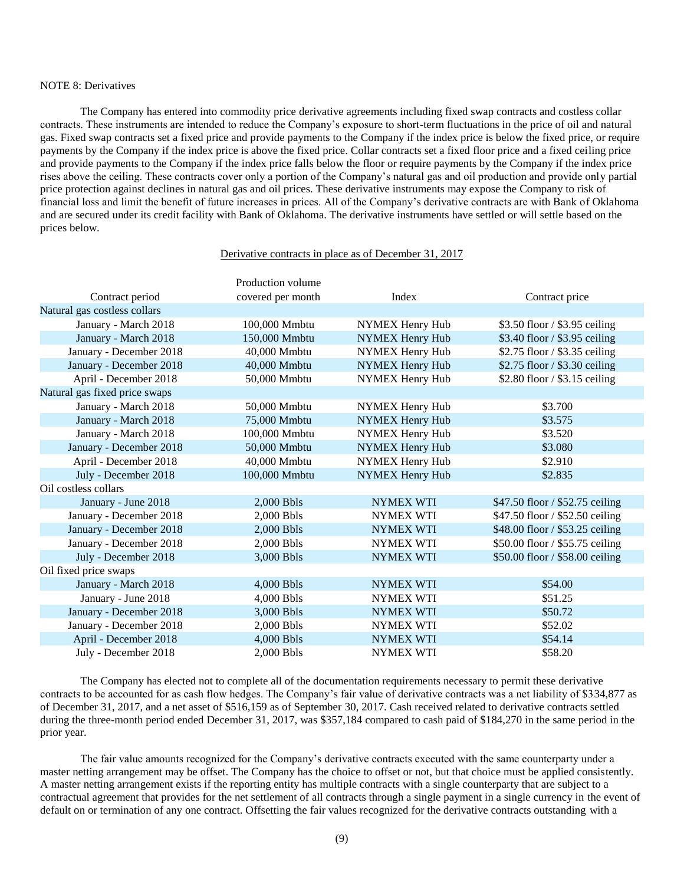### NOTE 8: Derivatives

The Company has entered into commodity price derivative agreements including fixed swap contracts and costless collar contracts. These instruments are intended to reduce the Company's exposure to short-term fluctuations in the price of oil and natural gas. Fixed swap contracts set a fixed price and provide payments to the Company if the index price is below the fixed price, or require payments by the Company if the index price is above the fixed price. Collar contracts set a fixed floor price and a fixed ceiling price and provide payments to the Company if the index price falls below the floor or require payments by the Company if the index price rises above the ceiling. These contracts cover only a portion of the Company's natural gas and oil production and provide only partial price protection against declines in natural gas and oil prices. These derivative instruments may expose the Company to risk of financial loss and limit the benefit of future increases in prices. All of the Company's derivative contracts are with Bank of Oklahoma and are secured under its credit facility with Bank of Oklahoma. The derivative instruments have settled or will settle based on the prices below.

|                               | Production volume |                        |                                 |
|-------------------------------|-------------------|------------------------|---------------------------------|
| Contract period               | covered per month | Index                  | Contract price                  |
| Natural gas costless collars  |                   |                        |                                 |
| January - March 2018          | 100,000 Mmbtu     | NYMEX Henry Hub        | \$3.50 floor / \$3.95 ceiling   |
| January - March 2018          | 150,000 Mmbtu     | <b>NYMEX Henry Hub</b> | \$3.40 floor / \$3.95 ceiling   |
| January - December 2018       | 40,000 Mmbtu      | NYMEX Henry Hub        | \$2.75 floor / \$3.35 ceiling   |
| January - December 2018       | 40,000 Mmbtu      | <b>NYMEX Henry Hub</b> | \$2.75 floor / \$3.30 ceiling   |
| April - December 2018         | 50,000 Mmbtu      | NYMEX Henry Hub        | \$2.80 floor / \$3.15 ceiling   |
| Natural gas fixed price swaps |                   |                        |                                 |
| January - March 2018          | 50,000 Mmbtu      | <b>NYMEX Henry Hub</b> | \$3.700                         |
| January - March 2018          | 75,000 Mmbtu      | <b>NYMEX Henry Hub</b> | \$3.575                         |
| January - March 2018          | 100,000 Mmbtu     | NYMEX Henry Hub        | \$3.520                         |
| January - December 2018       | 50,000 Mmbtu      | <b>NYMEX Henry Hub</b> | \$3.080                         |
| April - December 2018         | 40,000 Mmbtu      | NYMEX Henry Hub        | \$2.910                         |
| July - December 2018          | 100,000 Mmbtu     | <b>NYMEX Henry Hub</b> | \$2.835                         |
| Oil costless collars          |                   |                        |                                 |
| January - June 2018           | 2,000 Bbls        | <b>NYMEX WTI</b>       | \$47.50 floor / \$52.75 ceiling |
| January - December 2018       | 2,000 Bbls        | <b>NYMEX WTI</b>       | \$47.50 floor / \$52.50 ceiling |
| January - December 2018       | $2.000$ Bbls      | <b>NYMEX WTI</b>       | \$48.00 floor / \$53.25 ceiling |
| January - December 2018       | $2,000$ Bbls      | <b>NYMEX WTI</b>       | \$50.00 floor / \$55.75 ceiling |
| July - December 2018          | 3,000 Bbls        | <b>NYMEX WTI</b>       | \$50.00 floor / \$58.00 ceiling |
| Oil fixed price swaps         |                   |                        |                                 |
| January - March 2018          | 4,000 Bbls        | <b>NYMEX WTI</b>       | \$54.00                         |
| January - June 2018           | 4,000 Bbls        | <b>NYMEX WTI</b>       | \$51.25                         |
| January - December 2018       | 3,000 Bbls        | <b>NYMEX WTI</b>       | \$50.72                         |
| January - December 2018       | 2,000 Bbls        | <b>NYMEX WTI</b>       | \$52.02                         |
| April - December 2018         | 4,000 Bbls        | <b>NYMEX WTI</b>       | \$54.14                         |
| July - December 2018          | 2,000 Bbls        | <b>NYMEX WTI</b>       | \$58.20                         |

#### Derivative contracts in place as of December 31, 2017

The Company has elected not to complete all of the documentation requirements necessary to permit these derivative contracts to be accounted for as cash flow hedges. The Company's fair value of derivative contracts was a net liability of \$334,877 as of December 31, 2017, and a net asset of \$516,159 as of September 30, 2017. Cash received related to derivative contracts settled during the three-month period ended December 31, 2017, was \$357,184 compared to cash paid of \$184,270 in the same period in the prior year.

The fair value amounts recognized for the Company's derivative contracts executed with the same counterparty under a master netting arrangement may be offset. The Company has the choice to offset or not, but that choice must be applied consistently. A master netting arrangement exists if the reporting entity has multiple contracts with a single counterparty that are subject to a contractual agreement that provides for the net settlement of all contracts through a single payment in a single currency in the event of default on or termination of any one contract. Offsetting the fair values recognized for the derivative contracts outstanding with a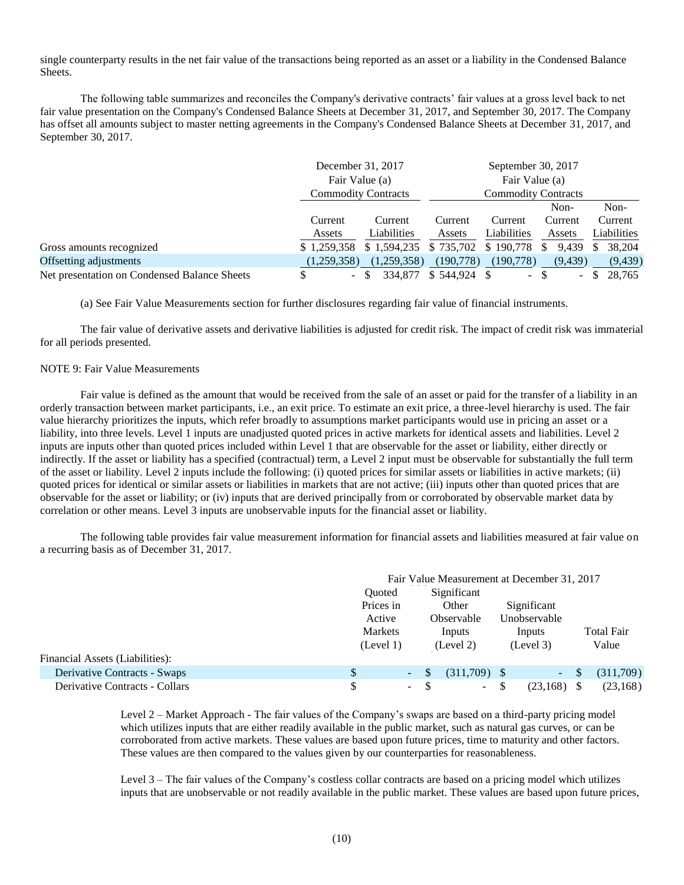single counterparty results in the net fair value of the transactions being reported as an asset or a liability in the Condensed Balance Sheets.

The following table summarizes and reconciles the Company's derivative contracts' fair values at a gross level back to net fair value presentation on the Company's Condensed Balance Sheets at December 31, 2017, and September 30, 2017. The Company has offset all amounts subject to master netting agreements in the Company's Condensed Balance Sheets at December 31, 2017, and September 30, 2017.

|                                              | December 31, 2017 |                            |           | September 30, 2017         |                          |              |  |  |  |  |
|----------------------------------------------|-------------------|----------------------------|-----------|----------------------------|--------------------------|--------------|--|--|--|--|
|                                              | Fair Value (a)    |                            |           | Fair Value (a)             |                          |              |  |  |  |  |
|                                              |                   | <b>Commodity Contracts</b> |           | <b>Commodity Contracts</b> |                          |              |  |  |  |  |
|                                              |                   |                            |           |                            | Non-                     | Non-         |  |  |  |  |
|                                              | Current           | Current                    | Current   | Current                    | Current                  | Current      |  |  |  |  |
|                                              | Assets            | Liabilities                | Assets    | Liabilities                | Assets                   | Liabilities  |  |  |  |  |
| Gross amounts recognized                     | \$1,259,358       | \$1,594,235                | \$735,702 | \$190,778                  | 9,439<br><sup>8</sup>    | 38,204<br>-8 |  |  |  |  |
| Offsetting adjustments                       | (1,259,358)       | (1,259,358)                | (190,778) | (190, 778)                 | (9, 439)                 | (9, 439)     |  |  |  |  |
| Net presentation on Condensed Balance Sheets | $\sim$            | 334,877                    | \$544.924 | -S<br>$\blacksquare$       | $\overline{\phantom{0}}$ | 28.765<br>S. |  |  |  |  |

(a) See Fair Value Measurements section for further disclosures regarding fair value of financial instruments.

The fair value of derivative assets and derivative liabilities is adjusted for credit risk. The impact of credit risk was immaterial for all periods presented.

#### NOTE 9: Fair Value Measurements

Fair value is defined as the amount that would be received from the sale of an asset or paid for the transfer of a liability in an orderly transaction between market participants, i.e., an exit price. To estimate an exit price, a three-level hierarchy is used. The fair value hierarchy prioritizes the inputs, which refer broadly to assumptions market participants would use in pricing an asset or a liability, into three levels. Level 1 inputs are unadjusted quoted prices in active markets for identical assets and liabilities. Level 2 inputs are inputs other than quoted prices included within Level 1 that are observable for the asset or liability, either directly or indirectly. If the asset or liability has a specified (contractual) term, a Level 2 input must be observable for substantially the full term of the asset or liability. Level 2 inputs include the following: (i) quoted prices for similar assets or liabilities in active markets; (ii) quoted prices for identical or similar assets or liabilities in markets that are not active; (iii) inputs other than quoted prices that are observable for the asset or liability; or (iv) inputs that are derived principally from or corroborated by observable market data by correlation or other means. Level 3 inputs are unobservable inputs for the financial asset or liability.

The following table provides fair value measurement information for financial assets and liabilities measured at fair value on a recurring basis as of December 31, 2017.

|                                 |                | Fair Value Measurement at December 31, 2017 |                |    |                |   |                   |  |
|---------------------------------|----------------|---------------------------------------------|----------------|----|----------------|---|-------------------|--|
|                                 | <b>Ouoted</b>  |                                             | Significant    |    |                |   |                   |  |
|                                 | Prices in      |                                             | Other          |    | Significant    |   |                   |  |
|                                 | Active         |                                             | Observable     |    | Unobservable   |   |                   |  |
|                                 | <b>Markets</b> |                                             | Inputs         |    | Inputs         |   | <b>Total Fair</b> |  |
|                                 | (Level 1)      |                                             | (Level 2)      |    | (Level 3)      |   | Value             |  |
| Financial Assets (Liabilities): |                |                                             |                |    |                |   |                   |  |
| Derivative Contracts - Swaps    |                | $\sim$ $-$                                  | $(311,709)$ \$ |    | $\blacksquare$ | S | (311,709)         |  |
| Derivative Contracts - Collars  |                | $\sim$                                      | $\sim$         | -S | (23, 168)      |   | (23, 168)         |  |

Level 2 – Market Approach - The fair values of the Company's swaps are based on a third-party pricing model which utilizes inputs that are either readily available in the public market, such as natural gas curves, or can be corroborated from active markets. These values are based upon future prices, time to maturity and other factors. These values are then compared to the values given by our counterparties for reasonableness.

Level 3 – The fair values of the Company's costless collar contracts are based on a pricing model which utilizes inputs that are unobservable or not readily available in the public market. These values are based upon future prices,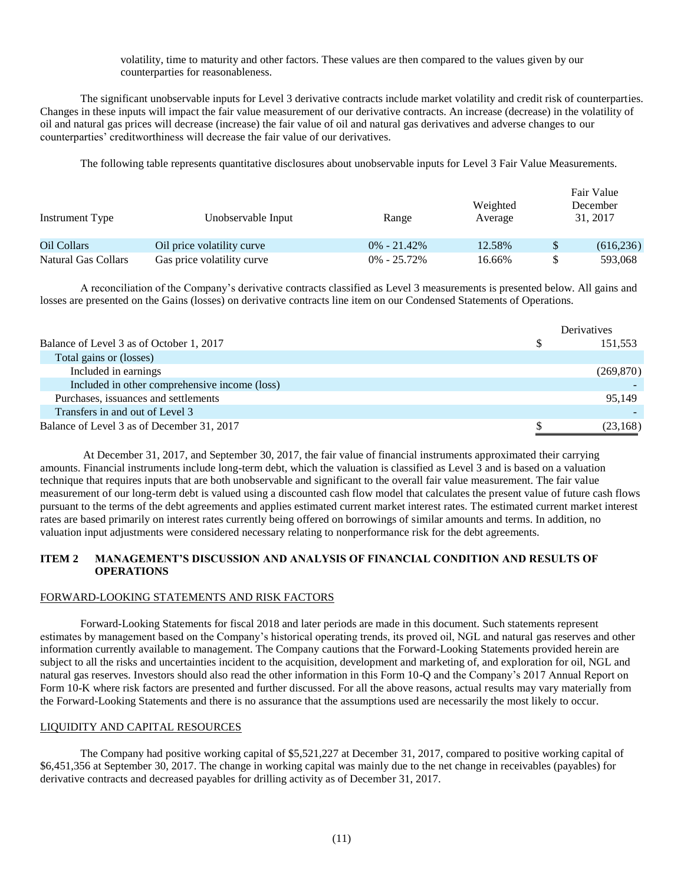volatility, time to maturity and other factors. These values are then compared to the values given by our counterparties for reasonableness.

The significant unobservable inputs for Level 3 derivative contracts include market volatility and credit risk of counterparties. Changes in these inputs will impact the fair value measurement of our derivative contracts. An increase (decrease) in the volatility of oil and natural gas prices will decrease (increase) the fair value of oil and natural gas derivatives and adverse changes to our counterparties' creditworthiness will decrease the fair value of our derivatives.

The following table represents quantitative disclosures about unobservable inputs for Level 3 Fair Value Measurements.

| Instrument Type     | Unobservable Input         | Range           | Weighted<br>Average |              | Fair Value<br>December<br>31, 2017 |  |  |
|---------------------|----------------------------|-----------------|---------------------|--------------|------------------------------------|--|--|
|                     |                            |                 |                     |              |                                    |  |  |
| Oil Collars         | Oil price volatility curve | $0\% - 21.42\%$ | 12.58%              | <sup>S</sup> | (616, 236)                         |  |  |
| Natural Gas Collars | Gas price volatility curve | $0\% - 25.72\%$ | 16.66%              |              | 593.068                            |  |  |

A reconciliation of the Company's derivative contracts classified as Level 3 measurements is presented below. All gains and losses are presented on the Gains (losses) on derivative contracts line item on our Condensed Statements of Operations.

|                                               | Derivatives |  |  |
|-----------------------------------------------|-------------|--|--|
| Balance of Level 3 as of October 1, 2017      | 151,553     |  |  |
| Total gains or (losses)                       |             |  |  |
| Included in earnings                          | (269, 870)  |  |  |
| Included in other comprehensive income (loss) |             |  |  |
| Purchases, issuances and settlements          | 95.149      |  |  |
| Transfers in and out of Level 3               |             |  |  |
| Balance of Level 3 as of December 31, 2017    | (23, 168)   |  |  |

At December 31, 2017, and September 30, 2017, the fair value of financial instruments approximated their carrying amounts. Financial instruments include long-term debt, which the valuation is classified as Level 3 and is based on a valuation technique that requires inputs that are both unobservable and significant to the overall fair value measurement. The fair value measurement of our long-term debt is valued using a discounted cash flow model that calculates the present value of future cash flows pursuant to the terms of the debt agreements and applies estimated current market interest rates. The estimated current market interest rates are based primarily on interest rates currently being offered on borrowings of similar amounts and terms. In addition, no valuation input adjustments were considered necessary relating to nonperformance risk for the debt agreements.

## <span id="page-13-0"></span>**ITEM 2 MANAGEMENT'S DISCUSSION AND ANALYSIS OF FINANCIAL CONDITION AND RESULTS OF OPERATIONS**

#### FORWARD-LOOKING STATEMENTS AND RISK FACTORS

Forward-Looking Statements for fiscal 2018 and later periods are made in this document. Such statements represent estimates by management based on the Company's historical operating trends, its proved oil, NGL and natural gas reserves and other information currently available to management. The Company cautions that the Forward-Looking Statements provided herein are subject to all the risks and uncertainties incident to the acquisition, development and marketing of, and exploration for oil, NGL and natural gas reserves. Investors should also read the other information in this Form 10-Q and the Company's 2017 Annual Report on Form 10-K where risk factors are presented and further discussed. For all the above reasons, actual results may vary materially from the Forward-Looking Statements and there is no assurance that the assumptions used are necessarily the most likely to occur.

### LIQUIDITY AND CAPITAL RESOURCES

The Company had positive working capital of \$5,521,227 at December 31, 2017, compared to positive working capital of \$6,451,356 at September 30, 2017. The change in working capital was mainly due to the net change in receivables (payables) for derivative contracts and decreased payables for drilling activity as of December 31, 2017.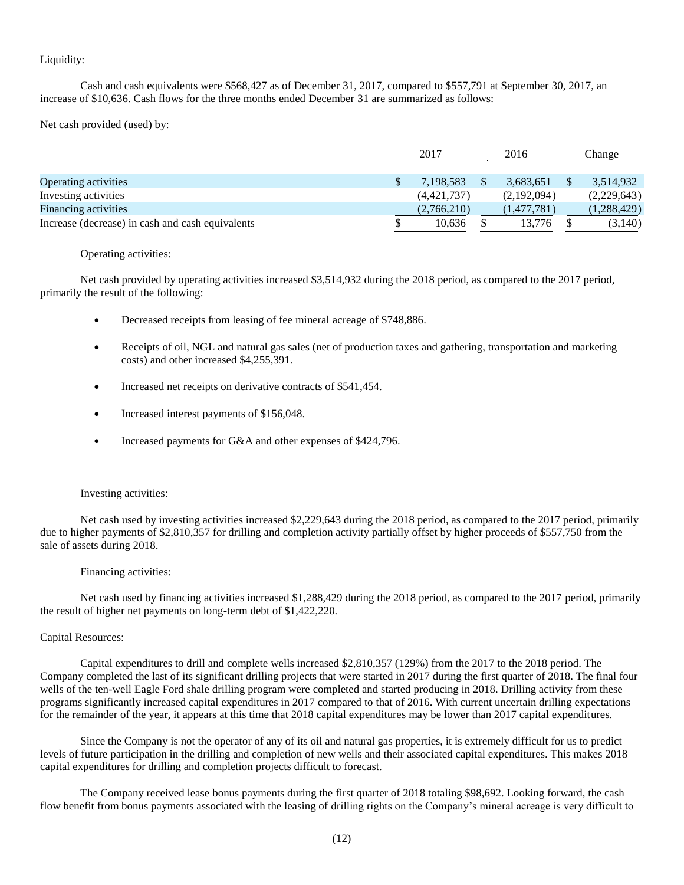### Liquidity:

Cash and cash equivalents were \$568,427 as of December 31, 2017, compared to \$557,791 at September 30, 2017, an increase of \$10,636. Cash flows for the three months ended December 31 are summarized as follows:

Net cash provided (used) by:

|                                                  | 2017        | 2016        | Change      |
|--------------------------------------------------|-------------|-------------|-------------|
| <b>Operating activities</b>                      | 7,198,583   | 3,683,651   | 3.514.932   |
| Investing activities                             | (4,421,737) | (2,192,094) | (2,229,643) |
| Financing activities                             | (2,766,210) | (1,477,781) | (1,288,429) |
| Increase (decrease) in cash and cash equivalents | 10.636      | 13.776      | (3,140)     |

#### Operating activities:

Net cash provided by operating activities increased \$3,514,932 during the 2018 period, as compared to the 2017 period, primarily the result of the following:

- Decreased receipts from leasing of fee mineral acreage of \$748,886.
- Receipts of oil, NGL and natural gas sales (net of production taxes and gathering, transportation and marketing costs) and other increased \$4,255,391.
- Increased net receipts on derivative contracts of \$541,454.
- Increased interest payments of \$156,048.
- Increased payments for G&A and other expenses of \$424,796.

#### Investing activities:

Net cash used by investing activities increased \$2,229,643 during the 2018 period, as compared to the 2017 period, primarily due to higher payments of \$2,810,357 for drilling and completion activity partially offset by higher proceeds of \$557,750 from the sale of assets during 2018.

#### Financing activities:

Net cash used by financing activities increased \$1,288,429 during the 2018 period, as compared to the 2017 period, primarily the result of higher net payments on long-term debt of \$1,422,220.

#### Capital Resources:

Capital expenditures to drill and complete wells increased \$2,810,357 (129%) from the 2017 to the 2018 period. The Company completed the last of its significant drilling projects that were started in 2017 during the first quarter of 2018. The final four wells of the ten-well Eagle Ford shale drilling program were completed and started producing in 2018. Drilling activity from these programs significantly increased capital expenditures in 2017 compared to that of 2016. With current uncertain drilling expectations for the remainder of the year, it appears at this time that 2018 capital expenditures may be lower than 2017 capital expenditures.

Since the Company is not the operator of any of its oil and natural gas properties, it is extremely difficult for us to predict levels of future participation in the drilling and completion of new wells and their associated capital expenditures. This makes 2018 capital expenditures for drilling and completion projects difficult to forecast.

The Company received lease bonus payments during the first quarter of 2018 totaling \$98,692. Looking forward, the cash flow benefit from bonus payments associated with the leasing of drilling rights on the Company's mineral acreage is very difficult to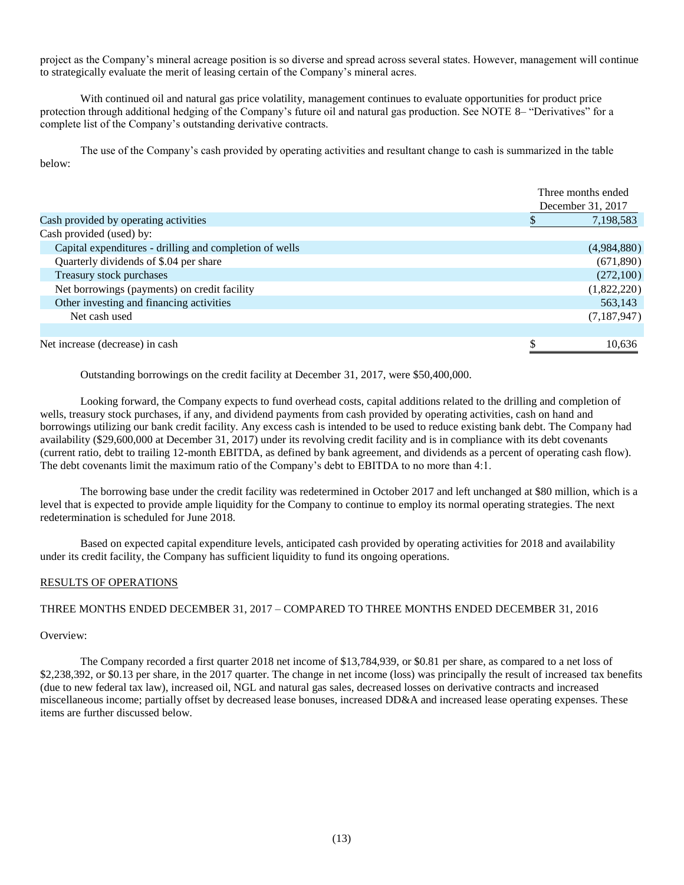project as the Company's mineral acreage position is so diverse and spread across several states. However, management will continue to strategically evaluate the merit of leasing certain of the Company's mineral acres.

With continued oil and natural gas price volatility, management continues to evaluate opportunities for product price protection through additional hedging of the Company's future oil and natural gas production. See NOTE 8– "Derivatives" for a complete list of the Company's outstanding derivative contracts.

The use of the Company's cash provided by operating activities and resultant change to cash is summarized in the table below:

|                                                         | Three months ended |
|---------------------------------------------------------|--------------------|
|                                                         | December 31, 2017  |
| Cash provided by operating activities                   | 7,198,583          |
| Cash provided (used) by:                                |                    |
| Capital expenditures - drilling and completion of wells | (4,984,880)        |
| Quarterly dividends of \$.04 per share                  | (671,890)          |
| Treasury stock purchases                                | (272,100)          |
| Net borrowings (payments) on credit facility            | (1,822,220)        |
| Other investing and financing activities                | 563,143            |
| Net cash used                                           | (7,187,947)        |
|                                                         |                    |
| Net increase (decrease) in cash                         | 10.636             |

Outstanding borrowings on the credit facility at December 31, 2017, were \$50,400,000.

Looking forward, the Company expects to fund overhead costs, capital additions related to the drilling and completion of wells, treasury stock purchases, if any, and dividend payments from cash provided by operating activities, cash on hand and borrowings utilizing our bank credit facility. Any excess cash is intended to be used to reduce existing bank debt. The Company had availability (\$29,600,000 at December 31, 2017) under its revolving credit facility and is in compliance with its debt covenants (current ratio, debt to trailing 12-month EBITDA, as defined by bank agreement, and dividends as a percent of operating cash flow). The debt covenants limit the maximum ratio of the Company's debt to EBITDA to no more than 4:1.

The borrowing base under the credit facility was redetermined in October 2017 and left unchanged at \$80 million, which is a level that is expected to provide ample liquidity for the Company to continue to employ its normal operating strategies. The next redetermination is scheduled for June 2018.

Based on expected capital expenditure levels, anticipated cash provided by operating activities for 2018 and availability under its credit facility, the Company has sufficient liquidity to fund its ongoing operations.

### RESULTS OF OPERATIONS

THREE MONTHS ENDED DECEMBER 31, 2017 – COMPARED TO THREE MONTHS ENDED DECEMBER 31, 2016

### Overview:

The Company recorded a first quarter 2018 net income of \$13,784,939, or \$0.81 per share, as compared to a net loss of \$2,238,392, or \$0.13 per share, in the 2017 quarter. The change in net income (loss) was principally the result of increased tax benefits (due to new federal tax law), increased oil, NGL and natural gas sales, decreased losses on derivative contracts and increased miscellaneous income; partially offset by decreased lease bonuses, increased DD&A and increased lease operating expenses. These items are further discussed below.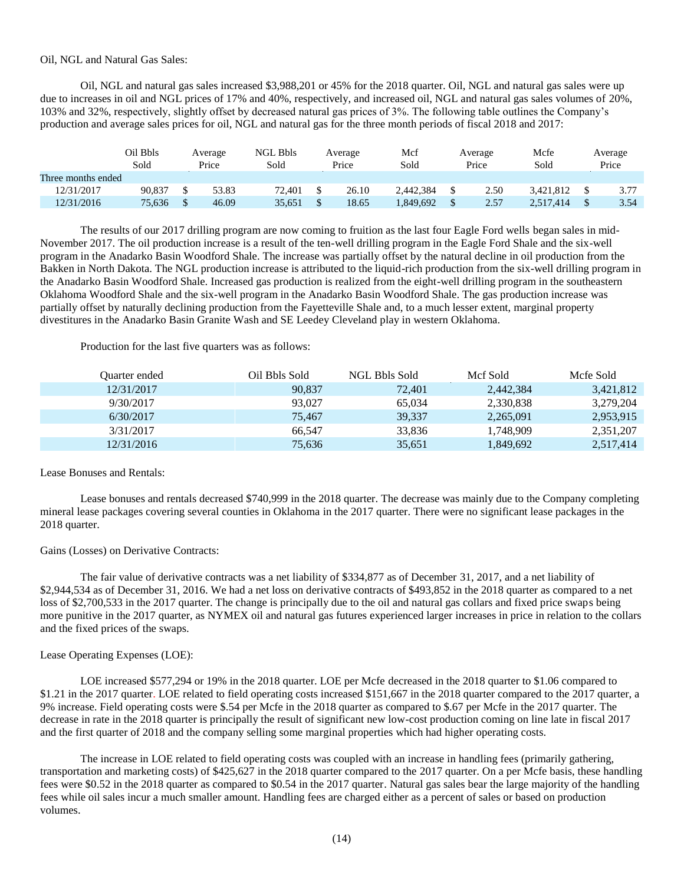Oil, NGL and Natural Gas Sales:

Oil, NGL and natural gas sales increased \$3,988,201 or 45% for the 2018 quarter. Oil, NGL and natural gas sales were up due to increases in oil and NGL prices of 17% and 40%, respectively, and increased oil, NGL and natural gas sales volumes of 20%, 103% and 32%, respectively, slightly offset by decreased natural gas prices of 3%. The following table outlines the Company's production and average sales prices for oil, NGL and natural gas for the three month periods of fiscal 2018 and 2017:

|                    | Oil Bbls<br>Sold | Average<br>Price | <b>NGL Bbls</b><br>Sold | Average<br>Price | Mcf<br>Sold | Average<br>Price | Mcfe<br>Sold | Average<br>Price |
|--------------------|------------------|------------------|-------------------------|------------------|-------------|------------------|--------------|------------------|
| Three months ended |                  |                  |                         |                  |             |                  |              |                  |
| 12/31/2017         | 90.837           | 53.83            | 72,401                  | 26.10            | 2,442,384   | 2.50             | 3.421.812    | 3.77             |
| 12/31/2016         | 75,636           | 46.09            | 35,651                  | 18.65            | .849.692    | 2.57             | 2.517.414    | 3.54             |

The results of our 2017 drilling program are now coming to fruition as the last four Eagle Ford wells began sales in mid-November 2017. The oil production increase is a result of the ten-well drilling program in the Eagle Ford Shale and the six-well program in the Anadarko Basin Woodford Shale. The increase was partially offset by the natural decline in oil production from the Bakken in North Dakota. The NGL production increase is attributed to the liquid-rich production from the six-well drilling program in the Anadarko Basin Woodford Shale. Increased gas production is realized from the eight-well drilling program in the southeastern Oklahoma Woodford Shale and the six-well program in the Anadarko Basin Woodford Shale. The gas production increase was partially offset by naturally declining production from the Fayetteville Shale and, to a much lesser extent, marginal property divestitures in the Anadarko Basin Granite Wash and SE Leedey Cleveland play in western Oklahoma.

Production for the last five quarters was as follows:

| Oil Bbls Sold |        |               | Mcfe Sold |
|---------------|--------|---------------|-----------|
| 90.837        | 72.401 | 2,442,384     | 3,421,812 |
| 93,027        | 65,034 | 2,330,838     | 3,279,204 |
| 75.467        | 39.337 | 2,265,091     | 2,953,915 |
| 66.547        | 33,836 | 1,748,909     | 2,351,207 |
| 75.636        | 35,651 | 1,849,692     | 2,517,414 |
|               |        | NGL Bbls Sold | Mcf Sold  |

Lease Bonuses and Rentals:

Lease bonuses and rentals decreased \$740,999 in the 2018 quarter. The decrease was mainly due to the Company completing mineral lease packages covering several counties in Oklahoma in the 2017 quarter. There were no significant lease packages in the 2018 quarter.

Gains (Losses) on Derivative Contracts:

The fair value of derivative contracts was a net liability of \$334,877 as of December 31, 2017, and a net liability of \$2,944,534 as of December 31, 2016. We had a net loss on derivative contracts of \$493,852 in the 2018 quarter as compared to a net loss of \$2,700,533 in the 2017 quarter. The change is principally due to the oil and natural gas collars and fixed price swaps being more punitive in the 2017 quarter, as NYMEX oil and natural gas futures experienced larger increases in price in relation to the collars and the fixed prices of the swaps.

#### Lease Operating Expenses (LOE):

LOE increased \$577,294 or 19% in the 2018 quarter. LOE per Mcfe decreased in the 2018 quarter to \$1.06 compared to \$1.21 in the 2017 quarter. LOE related to field operating costs increased \$151,667 in the 2018 quarter compared to the 2017 quarter, a 9% increase. Field operating costs were \$.54 per Mcfe in the 2018 quarter as compared to \$.67 per Mcfe in the 2017 quarter. The decrease in rate in the 2018 quarter is principally the result of significant new low-cost production coming on line late in fiscal 2017 and the first quarter of 2018 and the company selling some marginal properties which had higher operating costs.

The increase in LOE related to field operating costs was coupled with an increase in handling fees (primarily gathering, transportation and marketing costs) of \$425,627 in the 2018 quarter compared to the 2017 quarter. On a per Mcfe basis, these handling fees were \$0.52 in the 2018 quarter as compared to \$0.54 in the 2017 quarter. Natural gas sales bear the large majority of the handling fees while oil sales incur a much smaller amount. Handling fees are charged either as a percent of sales or based on production volumes.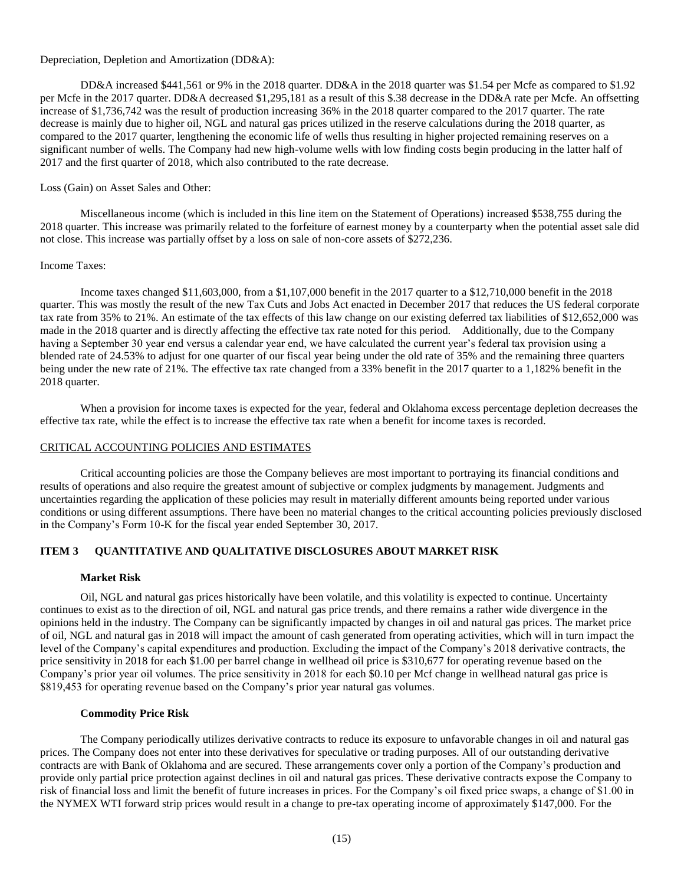#### Depreciation, Depletion and Amortization (DD&A):

DD&A increased \$441,561 or 9% in the 2018 quarter. DD&A in the 2018 quarter was \$1.54 per Mcfe as compared to \$1.92 per Mcfe in the 2017 quarter. DD&A decreased \$1,295,181 as a result of this \$.38 decrease in the DD&A rate per Mcfe. An offsetting increase of \$1,736,742 was the result of production increasing 36% in the 2018 quarter compared to the 2017 quarter. The rate decrease is mainly due to higher oil, NGL and natural gas prices utilized in the reserve calculations during the 2018 quarter, as compared to the 2017 quarter, lengthening the economic life of wells thus resulting in higher projected remaining reserves on a significant number of wells. The Company had new high-volume wells with low finding costs begin producing in the latter half of 2017 and the first quarter of 2018, which also contributed to the rate decrease.

#### Loss (Gain) on Asset Sales and Other:

Miscellaneous income (which is included in this line item on the Statement of Operations) increased \$538,755 during the 2018 quarter. This increase was primarily related to the forfeiture of earnest money by a counterparty when the potential asset sale did not close. This increase was partially offset by a loss on sale of non-core assets of \$272,236.

#### Income Taxes:

Income taxes changed \$11,603,000, from a \$1,107,000 benefit in the 2017 quarter to a \$12,710,000 benefit in the 2018 quarter. This was mostly the result of the new Tax Cuts and Jobs Act enacted in December 2017 that reduces the US federal corporate tax rate from 35% to 21%. An estimate of the tax effects of this law change on our existing deferred tax liabilities of \$12,652,000 was made in the 2018 quarter and is directly affecting the effective tax rate noted for this period. Additionally, due to the Company having a September 30 year end versus a calendar year end, we have calculated the current year's federal tax provision using a blended rate of 24.53% to adjust for one quarter of our fiscal year being under the old rate of 35% and the remaining three quarters being under the new rate of 21%. The effective tax rate changed from a 33% benefit in the 2017 quarter to a 1,182% benefit in the 2018 quarter.

When a provision for income taxes is expected for the year, federal and Oklahoma excess percentage depletion decreases the effective tax rate, while the effect is to increase the effective tax rate when a benefit for income taxes is recorded.

#### CRITICAL ACCOUNTING POLICIES AND ESTIMATES

Critical accounting policies are those the Company believes are most important to portraying its financial conditions and results of operations and also require the greatest amount of subjective or complex judgments by management. Judgments and uncertainties regarding the application of these policies may result in materially different amounts being reported under various conditions or using different assumptions. There have been no material changes to the critical accounting policies previously disclosed in the Company's Form 10-K for the fiscal year ended September 30, 2017.

### **ITEM 3 QUANTITATIVE AND QUALITATIVE DISCLOSURES ABOUT MARKET RISK**

#### <span id="page-17-0"></span>**Market Risk**

Oil, NGL and natural gas prices historically have been volatile, and this volatility is expected to continue. Uncertainty continues to exist as to the direction of oil, NGL and natural gas price trends, and there remains a rather wide divergence in the opinions held in the industry. The Company can be significantly impacted by changes in oil and natural gas prices. The market price of oil, NGL and natural gas in 2018 will impact the amount of cash generated from operating activities, which will in turn impact the level of the Company's capital expenditures and production. Excluding the impact of the Company's 2018 derivative contracts, the price sensitivity in 2018 for each \$1.00 per barrel change in wellhead oil price is \$310,677 for operating revenue based on the Company's prior year oil volumes. The price sensitivity in 2018 for each \$0.10 per Mcf change in wellhead natural gas price is \$819,453 for operating revenue based on the Company's prior year natural gas volumes.

#### **Commodity Price Risk**

The Company periodically utilizes derivative contracts to reduce its exposure to unfavorable changes in oil and natural gas prices. The Company does not enter into these derivatives for speculative or trading purposes. All of our outstanding derivative contracts are with Bank of Oklahoma and are secured. These arrangements cover only a portion of the Company's production and provide only partial price protection against declines in oil and natural gas prices. These derivative contracts expose the Company to risk of financial loss and limit the benefit of future increases in prices. For the Company's oil fixed price swaps, a change of \$1.00 in the NYMEX WTI forward strip prices would result in a change to pre-tax operating income of approximately \$147,000. For the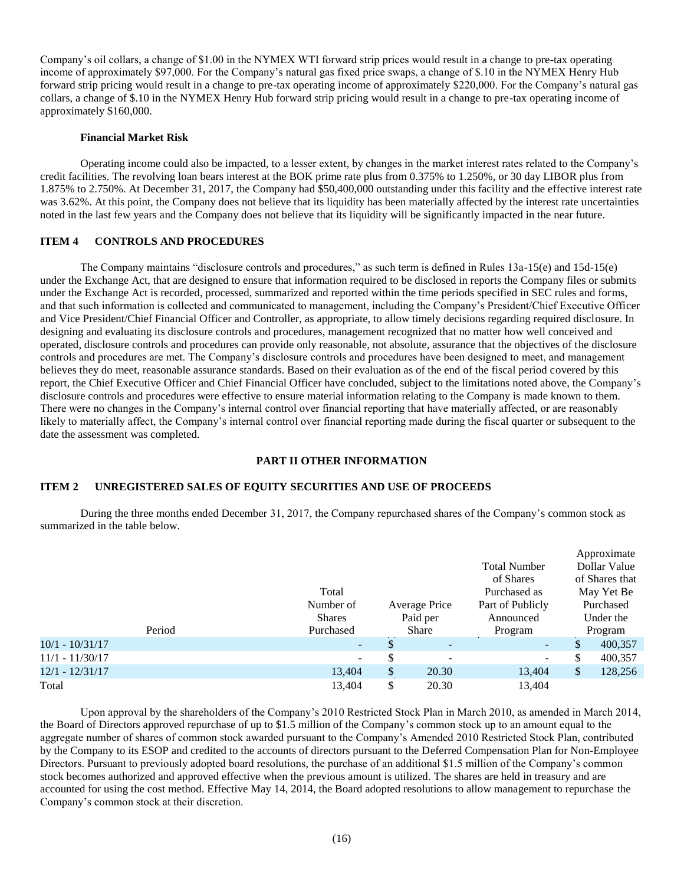Company's oil collars, a change of \$1.00 in the NYMEX WTI forward strip prices would result in a change to pre-tax operating income of approximately \$97,000. For the Company's natural gas fixed price swaps, a change of \$.10 in the NYMEX Henry Hub forward strip pricing would result in a change to pre-tax operating income of approximately \$220,000. For the Company's natural gas collars, a change of \$.10 in the NYMEX Henry Hub forward strip pricing would result in a change to pre-tax operating income of approximately \$160,000.

#### <span id="page-18-0"></span>**Financial Market Risk**

Operating income could also be impacted, to a lesser extent, by changes in the market interest rates related to the Company's credit facilities. The revolving loan bears interest at the BOK prime rate plus from 0.375% to 1.250%, or 30 day LIBOR plus from 1.875% to 2.750%. At December 31, 2017, the Company had \$50,400,000 outstanding under this facility and the effective interest rate was 3.62%. At this point, the Company does not believe that its liquidity has been materially affected by the interest rate uncertainties noted in the last few years and the Company does not believe that its liquidity will be significantly impacted in the near future.

### **ITEM 4 CONTROLS AND PROCEDURES**

The Company maintains "disclosure controls and procedures," as such term is defined in Rules 13a-15(e) and 15d-15(e) under the Exchange Act, that are designed to ensure that information required to be disclosed in reports the Company files or submits under the Exchange Act is recorded, processed, summarized and reported within the time periods specified in SEC rules and forms, and that such information is collected and communicated to management, including the Company's President/Chief Executive Officer and Vice President/Chief Financial Officer and Controller, as appropriate, to allow timely decisions regarding required disclosure. In designing and evaluating its disclosure controls and procedures, management recognized that no matter how well conceived and operated, disclosure controls and procedures can provide only reasonable, not absolute, assurance that the objectives of the disclosure controls and procedures are met. The Company's disclosure controls and procedures have been designed to meet, and management believes they do meet, reasonable assurance standards. Based on their evaluation as of the end of the fiscal period covered by this report, the Chief Executive Officer and Chief Financial Officer have concluded, subject to the limitations noted above, the Company's disclosure controls and procedures were effective to ensure material information relating to the Company is made known to them. There were no changes in the Company's internal control over financial reporting that have materially affected, or are reasonably likely to materially affect, the Company's internal control over financial reporting made during the fiscal quarter or subsequent to the date the assessment was completed.

### <span id="page-18-2"></span><span id="page-18-1"></span>**PART II OTHER INFORMATION**

### **ITEM 2 UNREGISTERED SALES OF EQUITY SECURITIES AND USE OF PROCEEDS**

During the three months ended December 31, 2017, the Company repurchased shares of the Company's common stock as summarized in the table below.

|                   |               |       |               |                     |    | Approximate    |
|-------------------|---------------|-------|---------------|---------------------|----|----------------|
|                   |               |       |               | <b>Total Number</b> |    | Dollar Value   |
|                   |               |       |               | of Shares           |    | of Shares that |
|                   | Total         |       |               | Purchased as        |    | May Yet Be     |
|                   | Number of     |       | Average Price | Part of Publicly    |    | Purchased      |
|                   | <b>Shares</b> |       | Paid per      | Announced           |    | Under the      |
| Period            | Purchased     | Share |               | Program             |    | Program        |
| $10/1 - 10/31/17$ | ۰             | S     |               |                     | S  | 400,357        |
| $11/1 - 11/30/17$ | $\sim$        | \$    | ۰             | $\sim$              | \$ | 400,357        |
| $12/1 - 12/31/17$ | 13,404        | \$    | 20.30         | 13,404              | \$ | 128,256        |
| Total             | 13,404        | \$    | 20.30         | 13.404              |    |                |

Upon approval by the shareholders of the Company's 2010 Restricted Stock Plan in March 2010, as amended in March 2014, the Board of Directors approved repurchase of up to \$1.5 million of the Company's common stock up to an amount equal to the aggregate number of shares of common stock awarded pursuant to the Company's Amended 2010 Restricted Stock Plan, contributed by the Company to its ESOP and credited to the accounts of directors pursuant to the Deferred Compensation Plan for Non-Employee Directors. Pursuant to previously adopted board resolutions, the purchase of an additional \$1.5 million of the Company's common stock becomes authorized and approved effective when the previous amount is utilized. The shares are held in treasury and are accounted for using the cost method. Effective May 14, 2014, the Board adopted resolutions to allow management to repurchase the Company's common stock at their discretion.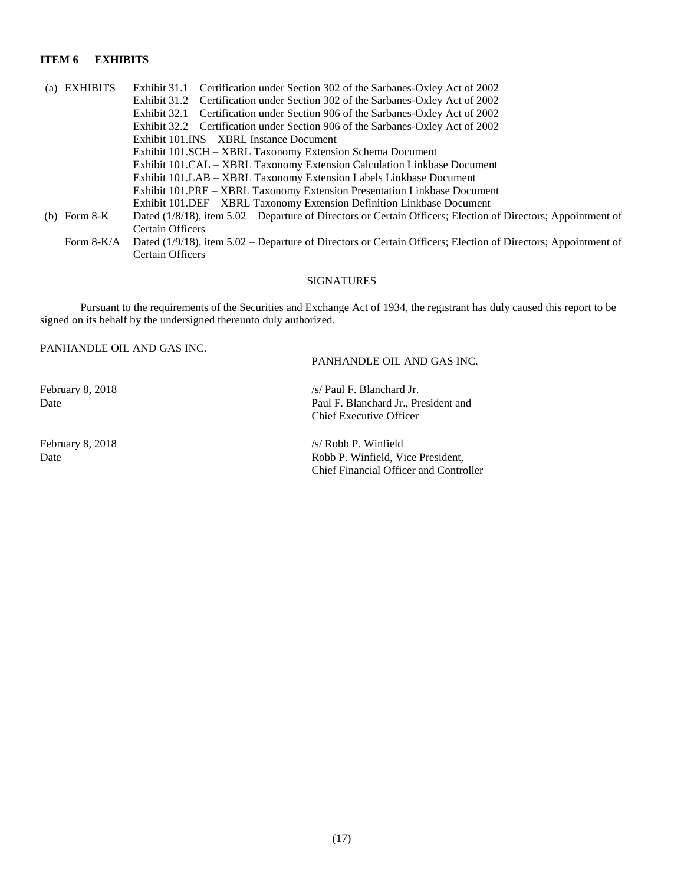### <span id="page-19-0"></span>**ITEM 6 EXHIBITS**

| (a) EXHIBITS   | Exhibit 31.1 – Certification under Section 302 of the Sarbanes-Oxley Act of 2002                              |
|----------------|---------------------------------------------------------------------------------------------------------------|
|                | Exhibit 31.2 – Certification under Section 302 of the Sarbanes-Oxley Act of 2002                              |
|                | Exhibit 32.1 – Certification under Section 906 of the Sarbanes-Oxley Act of 2002                              |
|                | Exhibit 32.2 – Certification under Section 906 of the Sarbanes-Oxley Act of 2002                              |
|                | Exhibit 101.INS – XBRL Instance Document                                                                      |
|                | Exhibit 101.SCH - XBRL Taxonomy Extension Schema Document                                                     |
|                | Exhibit 101.CAL - XBRL Taxonomy Extension Calculation Linkbase Document                                       |
|                | Exhibit 101.LAB - XBRL Taxonomy Extension Labels Linkbase Document                                            |
|                | Exhibit 101.PRE – XBRL Taxonomy Extension Presentation Linkbase Document                                      |
|                | Exhibit 101.DEF – XBRL Taxonomy Extension Definition Linkbase Document                                        |
| (b) Form $8-K$ | Dated (1/8/18), item 5.02 – Departure of Directors or Certain Officers; Election of Directors; Appointment of |
|                | Certain Officers                                                                                              |
| Form $8-K/A$   | Dated (1/9/18), item 5.02 – Departure of Directors or Certain Officers; Election of Directors; Appointment of |
|                | Certain Officers                                                                                              |

## <span id="page-19-1"></span>SIGNATURES

Pursuant to the requirements of the Securities and Exchange Act of 1934, the registrant has duly caused this report to be signed on its behalf by the undersigned thereunto duly authorized.

PANHANDLE OIL AND GAS INC.

PANHANDLE OIL AND GAS INC.

| February 8, 2018 | /s/ Paul F. Blanchard Jr.              |
|------------------|----------------------------------------|
| Date             | Paul F. Blanchard Jr., President and   |
|                  | Chief Executive Officer                |
| February 8, 2018 | $/s$ Robb P. Winfield                  |
| Date             | Robb P. Winfield, Vice President,      |
|                  | Chief Financial Officer and Controller |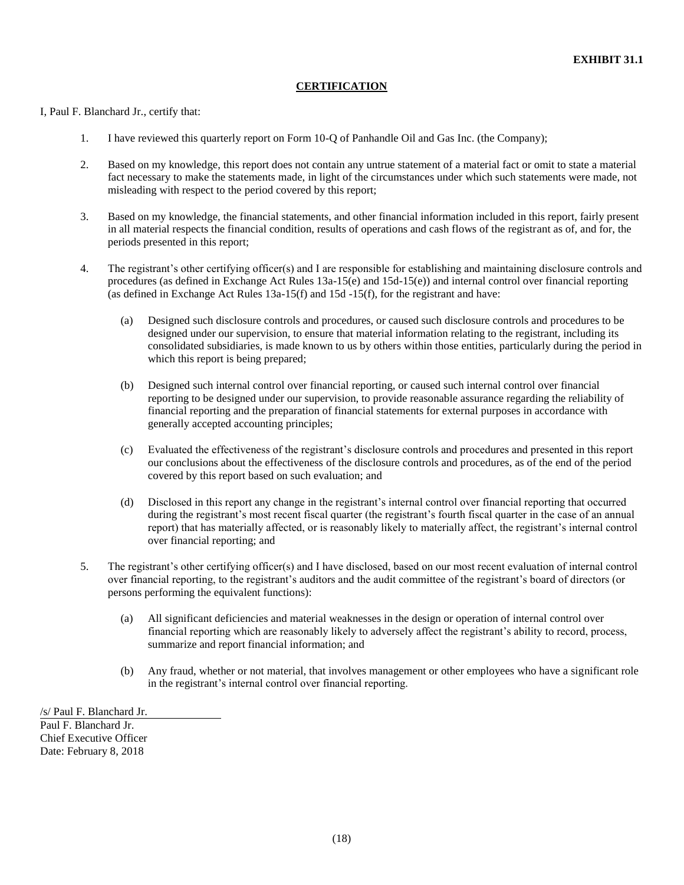# **CERTIFICATION**

I, Paul F. Blanchard Jr., certify that:

- 1. I have reviewed this quarterly report on Form 10-Q of Panhandle Oil and Gas Inc. (the Company);
- 2. Based on my knowledge, this report does not contain any untrue statement of a material fact or omit to state a material fact necessary to make the statements made, in light of the circumstances under which such statements were made, not misleading with respect to the period covered by this report;
- 3. Based on my knowledge, the financial statements, and other financial information included in this report, fairly present in all material respects the financial condition, results of operations and cash flows of the registrant as of, and for, the periods presented in this report;
- 4. The registrant's other certifying officer(s) and I are responsible for establishing and maintaining disclosure controls and procedures (as defined in Exchange Act Rules 13a-15(e) and 15d-15(e)) and internal control over financial reporting (as defined in Exchange Act Rules 13a-15(f) and 15d -15(f), for the registrant and have:
	- (a) Designed such disclosure controls and procedures, or caused such disclosure controls and procedures to be designed under our supervision, to ensure that material information relating to the registrant, including its consolidated subsidiaries, is made known to us by others within those entities, particularly during the period in which this report is being prepared;
	- (b) Designed such internal control over financial reporting, or caused such internal control over financial reporting to be designed under our supervision, to provide reasonable assurance regarding the reliability of financial reporting and the preparation of financial statements for external purposes in accordance with generally accepted accounting principles;
	- (c) Evaluated the effectiveness of the registrant's disclosure controls and procedures and presented in this report our conclusions about the effectiveness of the disclosure controls and procedures, as of the end of the period covered by this report based on such evaluation; and
	- (d) Disclosed in this report any change in the registrant's internal control over financial reporting that occurred during the registrant's most recent fiscal quarter (the registrant's fourth fiscal quarter in the case of an annual report) that has materially affected, or is reasonably likely to materially affect, the registrant's internal control over financial reporting; and
- 5. The registrant's other certifying officer(s) and I have disclosed, based on our most recent evaluation of internal control over financial reporting, to the registrant's auditors and the audit committee of the registrant's board of directors (or persons performing the equivalent functions):
	- (a) All significant deficiencies and material weaknesses in the design or operation of internal control over financial reporting which are reasonably likely to adversely affect the registrant's ability to record, process, summarize and report financial information; and
	- (b) Any fraud, whether or not material, that involves management or other employees who have a significant role in the registrant's internal control over financial reporting.

/s/ Paul F. Blanchard Jr. Paul F. Blanchard Jr. Chief Executive Officer Date: February 8, 2018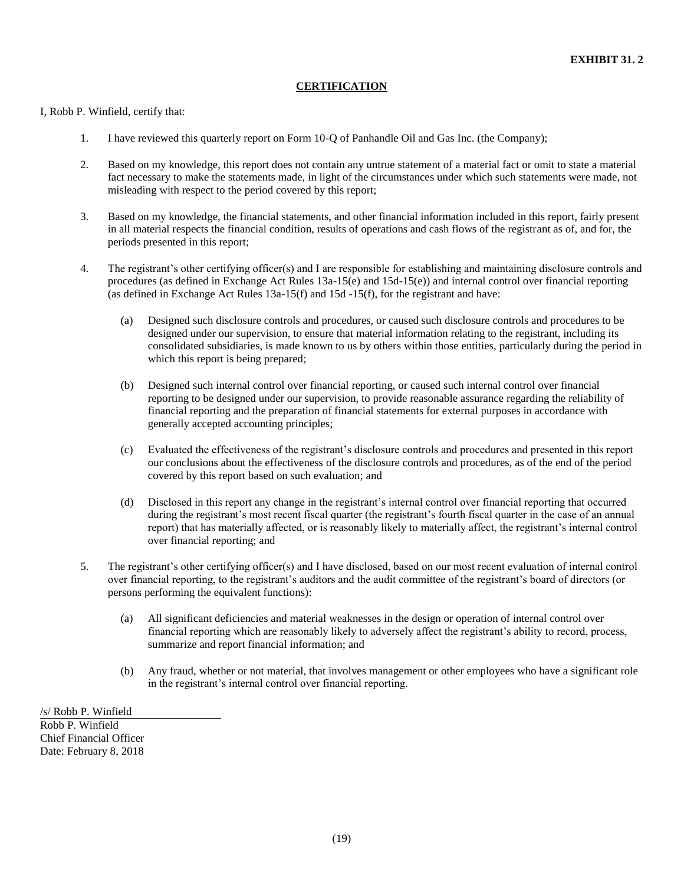## **CERTIFICATION**

### I, Robb P. Winfield, certify that:

- 1. I have reviewed this quarterly report on Form 10-Q of Panhandle Oil and Gas Inc. (the Company);
- 2. Based on my knowledge, this report does not contain any untrue statement of a material fact or omit to state a material fact necessary to make the statements made, in light of the circumstances under which such statements were made, not misleading with respect to the period covered by this report;
- 3. Based on my knowledge, the financial statements, and other financial information included in this report, fairly present in all material respects the financial condition, results of operations and cash flows of the registrant as of, and for, the periods presented in this report;
- 4. The registrant's other certifying officer(s) and I are responsible for establishing and maintaining disclosure controls and procedures (as defined in Exchange Act Rules 13a-15(e) and 15d-15(e)) and internal control over financial reporting (as defined in Exchange Act Rules 13a-15(f) and 15d -15(f), for the registrant and have:
	- (a) Designed such disclosure controls and procedures, or caused such disclosure controls and procedures to be designed under our supervision, to ensure that material information relating to the registrant, including its consolidated subsidiaries, is made known to us by others within those entities, particularly during the period in which this report is being prepared;
	- (b) Designed such internal control over financial reporting, or caused such internal control over financial reporting to be designed under our supervision, to provide reasonable assurance regarding the reliability of financial reporting and the preparation of financial statements for external purposes in accordance with generally accepted accounting principles;
	- (c) Evaluated the effectiveness of the registrant's disclosure controls and procedures and presented in this report our conclusions about the effectiveness of the disclosure controls and procedures, as of the end of the period covered by this report based on such evaluation; and
	- (d) Disclosed in this report any change in the registrant's internal control over financial reporting that occurred during the registrant's most recent fiscal quarter (the registrant's fourth fiscal quarter in the case of an annual report) that has materially affected, or is reasonably likely to materially affect, the registrant's internal control over financial reporting; and
- 5. The registrant's other certifying officer(s) and I have disclosed, based on our most recent evaluation of internal control over financial reporting, to the registrant's auditors and the audit committee of the registrant's board of directors (or persons performing the equivalent functions):
	- (a) All significant deficiencies and material weaknesses in the design or operation of internal control over financial reporting which are reasonably likely to adversely affect the registrant's ability to record, process, summarize and report financial information; and
	- (b) Any fraud, whether or not material, that involves management or other employees who have a significant role in the registrant's internal control over financial reporting.

/s/ Robb P. Winfield Robb P. Winfield Chief Financial Officer

Date: February 8, 2018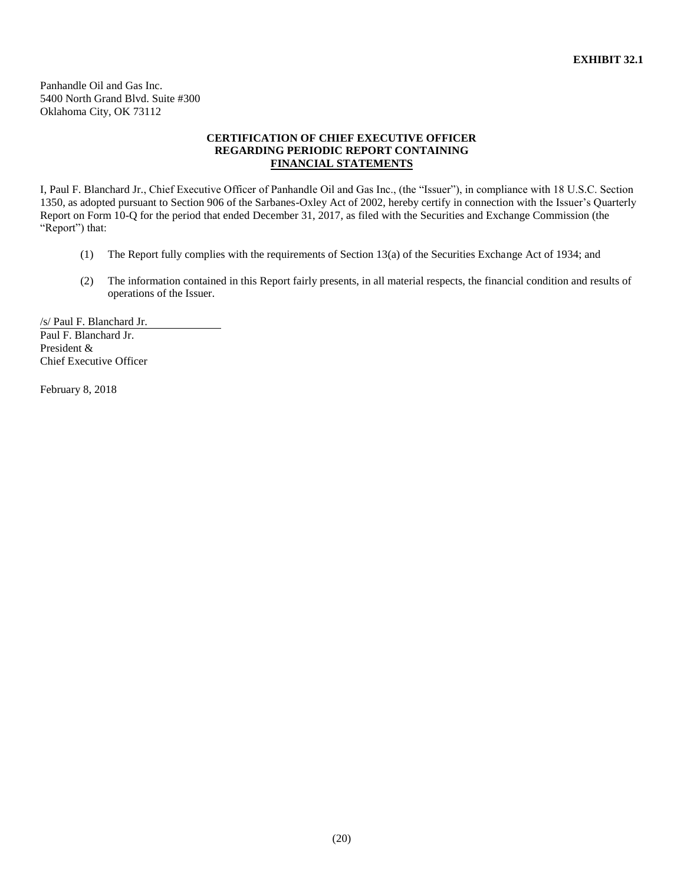Panhandle Oil and Gas Inc. 5400 North Grand Blvd. Suite #300 Oklahoma City, OK 73112

## **CERTIFICATION OF CHIEF EXECUTIVE OFFICER REGARDING PERIODIC REPORT CONTAINING FINANCIAL STATEMENTS**

I, Paul F. Blanchard Jr., Chief Executive Officer of Panhandle Oil and Gas Inc., (the "Issuer"), in compliance with 18 U.S.C. Section 1350, as adopted pursuant to Section 906 of the Sarbanes-Oxley Act of 2002, hereby certify in connection with the Issuer's Quarterly Report on Form 10-Q for the period that ended December 31, 2017, as filed with the Securities and Exchange Commission (the "Report") that:

- (1) The Report fully complies with the requirements of Section 13(a) of the Securities Exchange Act of 1934; and
- (2) The information contained in this Report fairly presents, in all material respects, the financial condition and results of operations of the Issuer.

/s/ Paul F. Blanchard Jr. Paul F. Blanchard Jr. President & Chief Executive Officer

February 8, 2018